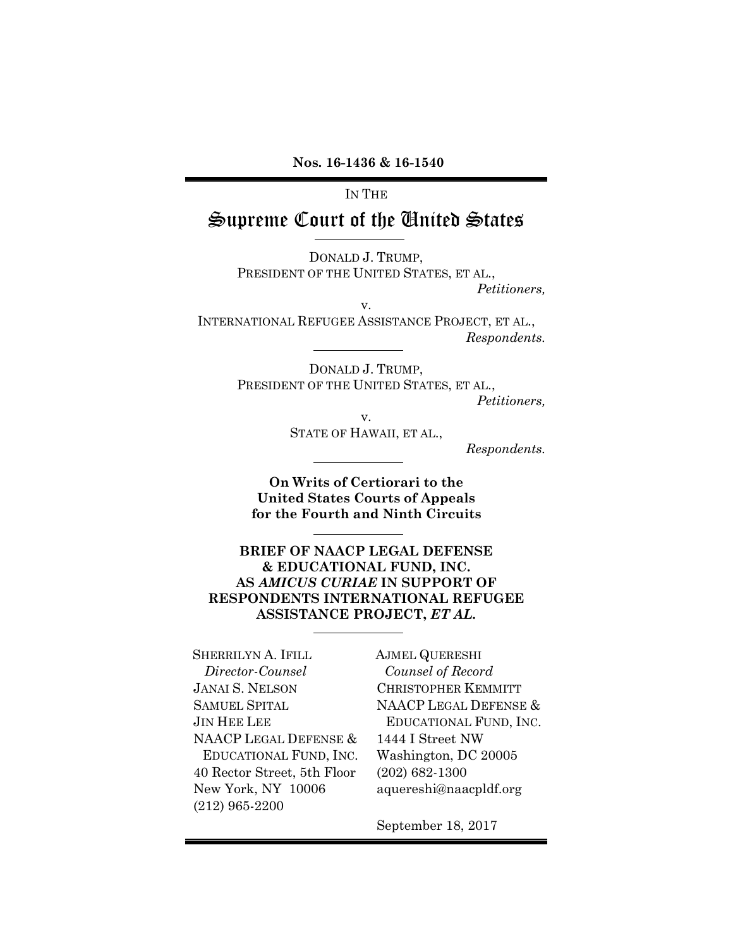#### **Nos. 16-1436 & 16-1540**

IN THE

# Supreme Court of the United States

DONALD J. TRUMP, PRESIDENT OF THE UNITED STATES, ET AL.,

*Petitioners,*

v.

INTERNATIONAL REFUGEE ASSISTANCE PROJECT, ET AL., *Respondents.*

> DONALD J. TRUMP, PRESIDENT OF THE UNITED STATES, ET AL.,

*Petitioners,*

v. STATE OF HAWAII, ET AL.,

*Respondents.*

**On Writs of Certiorari to the United States Courts of Appeals for the Fourth and Ninth Circuits**

**BRIEF OF NAACP LEGAL DEFENSE & EDUCATIONAL FUND, INC. AS** *AMICUS CURIAE* **IN SUPPORT OF RESPONDENTS INTERNATIONAL REFUGEE ASSISTANCE PROJECT,** *ET AL.*

SHERRILYN A. IFILL AJMEL QUERESHI *Director-Counsel Counsel of Record* JANAI S. NELSON CHRISTOPHER KEMMITT NAACP LEGAL DEFENSE & 1444 I Street NW EDUCATIONAL FUND, INC. Washington, DC 20005 40 Rector Street, 5th Floor New York, NY 10006 (212) 965-2200

SAMUEL SPITAL NAACP LEGAL DEFENSE & JIN HEE LEE EDUCATIONAL FUND, INC. (202) 682-1300 aquereshi@naacpldf.org

September 18, 2017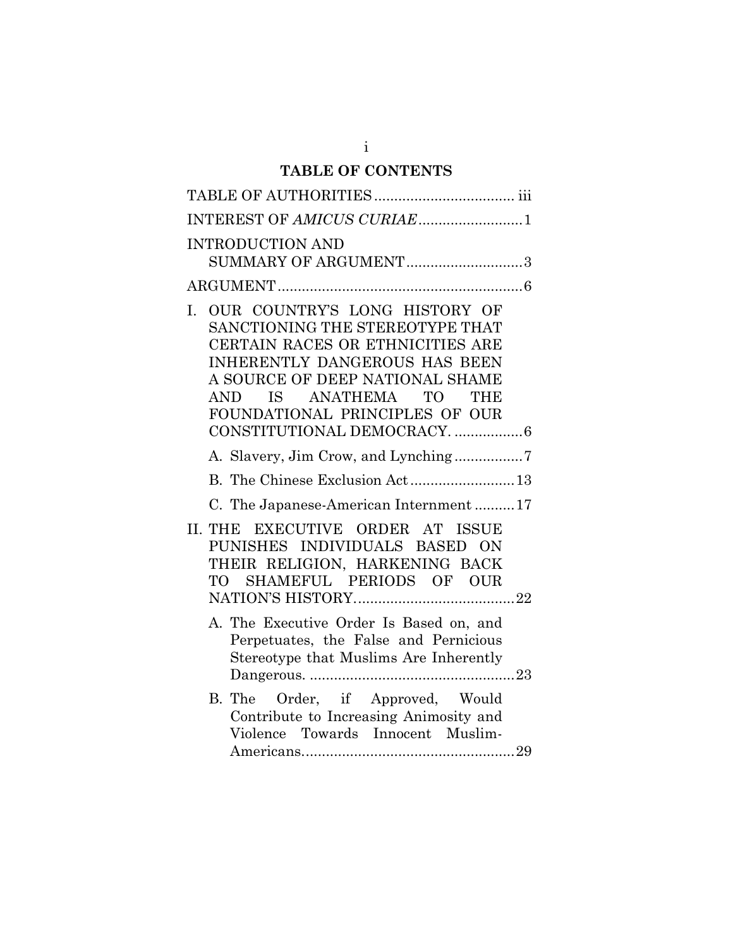# **TABLE OF CONTENTS**

| INTEREST OF AMICUS CURIAE1                                                                                                                                                                                                                                                                                                            |
|---------------------------------------------------------------------------------------------------------------------------------------------------------------------------------------------------------------------------------------------------------------------------------------------------------------------------------------|
| <b>INTRODUCTION AND</b><br>SUMMARY OF ARGUMENT3                                                                                                                                                                                                                                                                                       |
|                                                                                                                                                                                                                                                                                                                                       |
| OUR COUNTRY'S LONG HISTORY OF<br>L.<br>SANCTIONING THE STEREOTYPE THAT<br>CERTAIN RACES OR ETHNICITIES ARE<br><b>INHERENTLY DANGEROUS HAS BEEN</b><br>A SOURCE OF DEEP NATIONAL SHAME<br><b>IS</b><br><b>ANATHEMA</b><br>T <sub>O</sub><br><b>AND</b><br><b>THE</b><br>FOUNDATIONAL PRINCIPLES OF OUR<br>CONSTITUTIONAL DEMOCRACY.  6 |
|                                                                                                                                                                                                                                                                                                                                       |
|                                                                                                                                                                                                                                                                                                                                       |
| C. The Japanese-American Internment 17                                                                                                                                                                                                                                                                                                |
| EXECUTIVE ORDER AT ISSUE<br>II. THE<br>PUNISHES INDIVIDUALS BASED ON<br>THEIR RELIGION, HARKENING BACK<br>SHAMEFUL PERIODS OF OUR<br>TО                                                                                                                                                                                               |
| A. The Executive Order Is Based on, and<br>Perpetuates, the False and Pernicious<br>Stereotype that Muslims Are Inherently                                                                                                                                                                                                            |
| B. The Order, if Approved, Would<br>Contribute to Increasing Animosity and<br>Violence Towards Innocent Muslim-                                                                                                                                                                                                                       |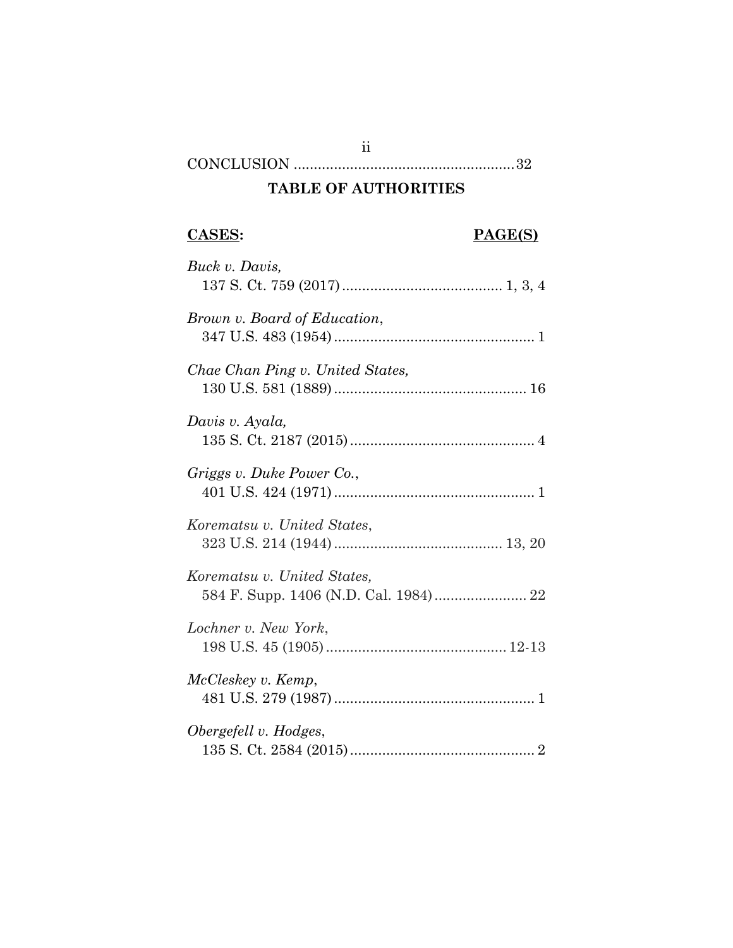## CONCLUSION .......................................................32

# **TABLE OF AUTHORITIES**

ii

# **CASES: PAGE(S)**

| Buck v. Davis,                                                       |
|----------------------------------------------------------------------|
| Brown v. Board of Education,                                         |
| Chae Chan Ping v. United States,                                     |
| Davis v. Ayala,                                                      |
| Griggs v. Duke Power Co.,                                            |
| Korematsu v. United States,                                          |
| Korematsu v. United States,<br>584 F. Supp. 1406 (N.D. Cal. 1984) 22 |
| Lochner v. New York,                                                 |
| McCleskey v. Kemp,                                                   |
| Obergefell v. Hodges,                                                |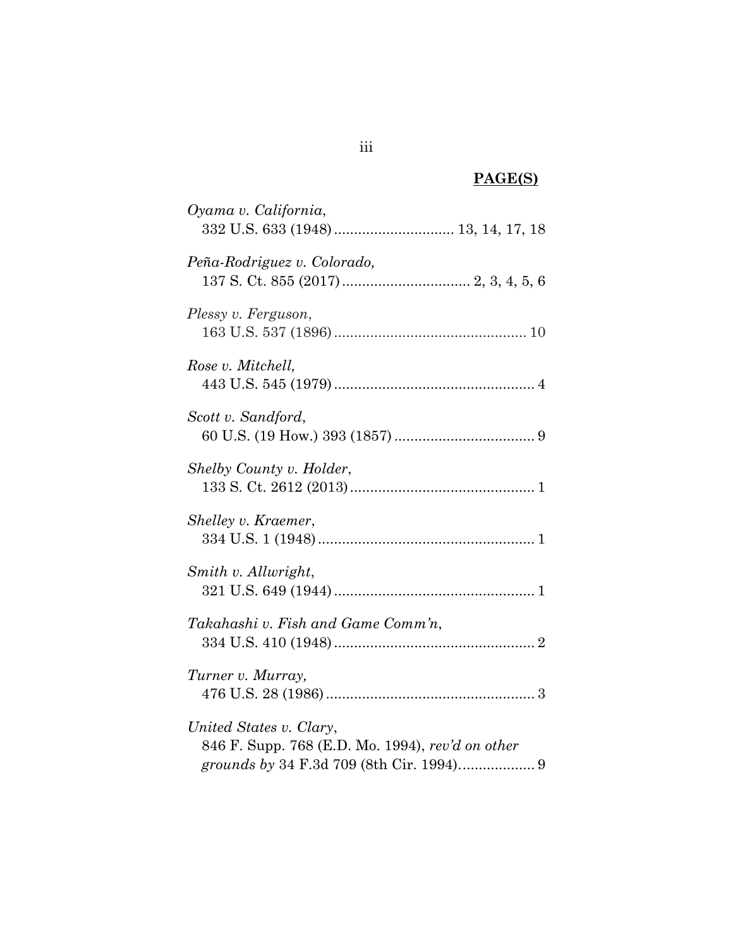| Oyama v. California,                                                        |
|-----------------------------------------------------------------------------|
| Peña-Rodriguez v. Colorado,                                                 |
| Plessy v. Ferguson,                                                         |
| Rose v. Mitchell,                                                           |
| Scott v. Sandford,                                                          |
| Shelby County v. Holder,                                                    |
| Shelley v. Kraemer,                                                         |
| Smith v. Allwright,                                                         |
| Takahashi v. Fish and Game Comm'n,                                          |
| Turner v. Murray,                                                           |
| United States v. Clary,<br>846 F. Supp. 768 (E.D. Mo. 1994), rev'd on other |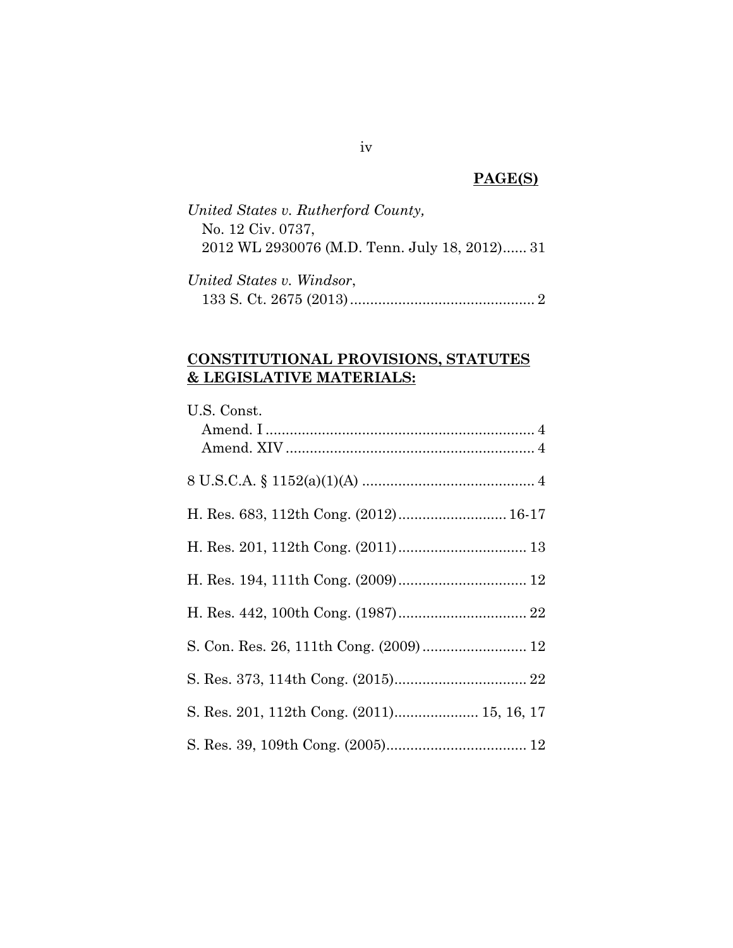| United States v. Rutherford County,           |  |
|-----------------------------------------------|--|
| No. 12 Civ. 0737,                             |  |
| 2012 WL 2930076 (M.D. Tenn. July 18, 2012) 31 |  |
| United States v. Windsor,                     |  |

# **CONSTITUTIONAL PROVISIONS, STATUTES & LEGISLATIVE MATERIALS:**

| U.S. Const.                                |
|--------------------------------------------|
|                                            |
|                                            |
|                                            |
|                                            |
|                                            |
| H. Res. 683, 112th Cong. (2012) 16-17      |
|                                            |
|                                            |
|                                            |
|                                            |
|                                            |
|                                            |
| S. Con. Res. 26, 111th Cong. (2009) 12     |
|                                            |
|                                            |
| S. Res. 201, 112th Cong. (2011) 15, 16, 17 |
|                                            |
|                                            |

### iv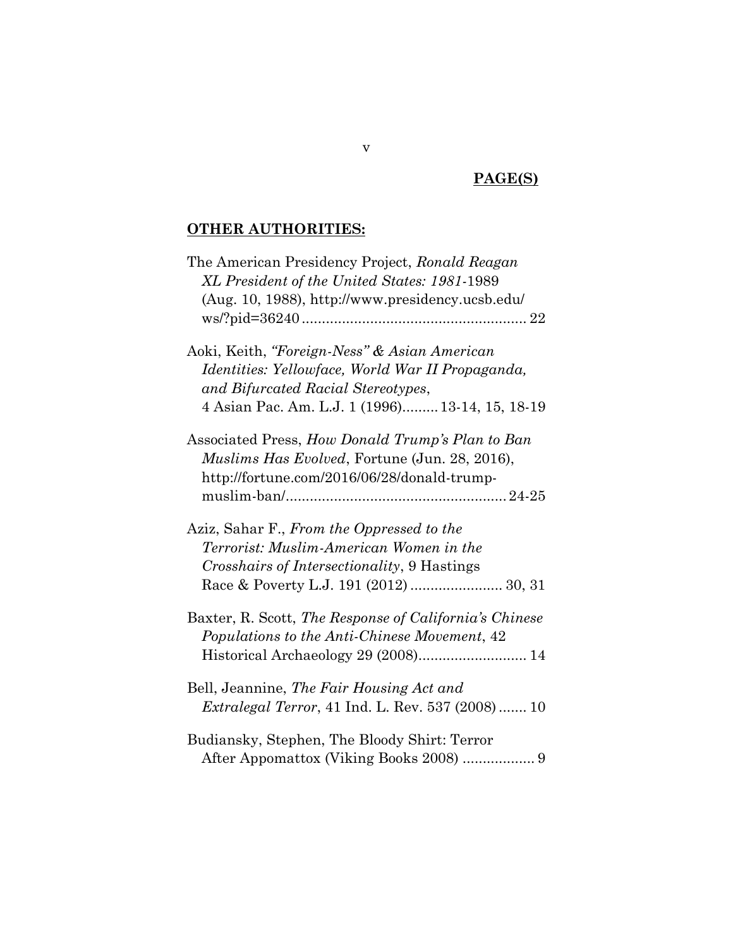### **OTHER AUTHORITIES:**

| The American Presidency Project, Ronald Reagan            |
|-----------------------------------------------------------|
| XL President of the United States: 1981-1989              |
| (Aug. 10, 1988), http://www.presidency.ucsb.edu/          |
|                                                           |
|                                                           |
| Aoki, Keith, "Foreign-Ness" & Asian American              |
| Identities: Yellowface, World War II Propaganda,          |
| and Bifurcated Racial Stereotypes,                        |
| 4 Asian Pac. Am. L.J. 1 (1996) 13-14, 15, 18-19           |
|                                                           |
| Associated Press, How Donald Trump's Plan to Ban          |
| <i>Muslims Has Evolved, Fortune (Jun. 28, 2016),</i>      |
| http://fortune.com/2016/06/28/donald-trump-               |
|                                                           |
|                                                           |
|                                                           |
| Aziz, Sahar F., From the Oppressed to the                 |
|                                                           |
| Terrorist: Muslim-American Women in the                   |
| Crosshairs of Intersectionality, 9 Hastings               |
|                                                           |
| Baxter, R. Scott, The Response of California's Chinese    |
| Populations to the Anti-Chinese Movement, 42              |
|                                                           |
| Historical Archaeology 29 (2008) 14                       |
| Bell, Jeannine, The Fair Housing Act and                  |
|                                                           |
| <i>Extralegal Terror</i> , 41 Ind. L. Rev. 537 (2008)  10 |
|                                                           |
| Budiansky, Stephen, The Bloody Shirt: Terror              |

v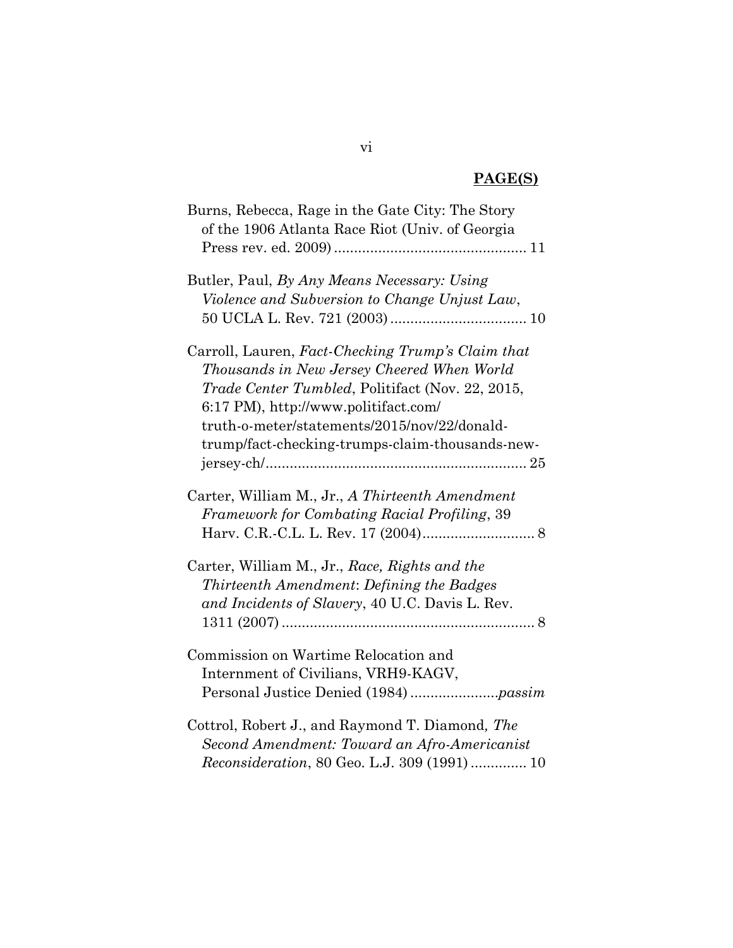| Burns, Rebecca, Rage in the Gate City: The Story        |
|---------------------------------------------------------|
| of the 1906 Atlanta Race Riot (Univ. of Georgia         |
|                                                         |
|                                                         |
| Butler, Paul, By Any Means Necessary: Using             |
| Violence and Subversion to Change Unjust Law,           |
|                                                         |
|                                                         |
| Carroll, Lauren, Fact-Checking Trump's Claim that       |
| Thousands in New Jersey Cheered When World              |
| <i>Trade Center Tumbled, Politifact (Nov. 22, 2015,</i> |
| 6:17 PM), http://www.politifact.com/                    |
| truth-o-meter/statements/2015/nov/22/donald-            |
|                                                         |
| trump/fact-checking-trumps-claim-thousands-new-         |
|                                                         |
|                                                         |
| Carter, William M., Jr., A Thirteenth Amendment         |
| Framework for Combating Racial Profiling, 39            |
|                                                         |
| Carter, William M., Jr., Race, Rights and the           |
| Thirteenth Amendment: Defining the Badges               |
| and Incidents of Slavery, 40 U.C. Davis L. Rev.         |
|                                                         |
|                                                         |
| Commission on Wartime Relocation and                    |
| Internment of Civilians, VRH9-KAGV,                     |
|                                                         |
|                                                         |
| Cottrol, Robert J., and Raymond T. Diamond, The         |
| Second Amendment: Toward an Afro-Americanist            |
| Reconsideration, 80 Geo. L.J. 309 (1991) 10             |
|                                                         |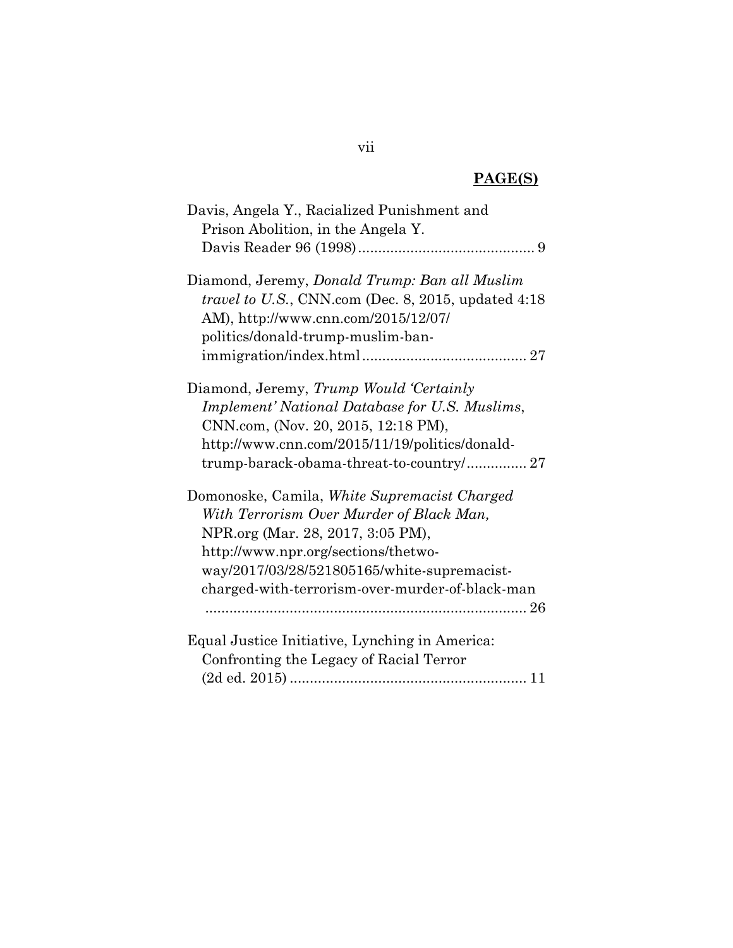| Davis, Angela Y., Racialized Punishment and<br>Prison Abolition, in the Angela Y.                                                                                                                                                                                      |
|------------------------------------------------------------------------------------------------------------------------------------------------------------------------------------------------------------------------------------------------------------------------|
|                                                                                                                                                                                                                                                                        |
| Diamond, Jeremy, Donald Trump: Ban all Muslim<br><i>travel to U.S.</i> , CNN.com (Dec. 8, 2015, updated 4:18)<br>AM), http://www.cnn.com/2015/12/07/<br>politics/donald-trump-muslim-ban-                                                                              |
| Diamond, Jeremy, Trump Would 'Certainly<br>Implement' National Database for U.S. Muslims,<br>CNN.com, (Nov. 20, 2015, 12:18 PM),<br>http://www.cnn.com/2015/11/19/politics/donald-<br>trump-barack-obama-threat-to-country/ 27                                         |
| Domonoske, Camila, White Supremacist Charged<br>With Terrorism Over Murder of Black Man,<br>NPR.org (Mar. 28, 2017, 3:05 PM),<br>http://www.npr.org/sections/thetwo-<br>way/2017/03/28/521805165/white-supremacist-<br>charged-with-terrorism-over-murder-of-black-man |
| Equal Justice Initiative, Lynching in America:<br>Confronting the Legacy of Racial Terror                                                                                                                                                                              |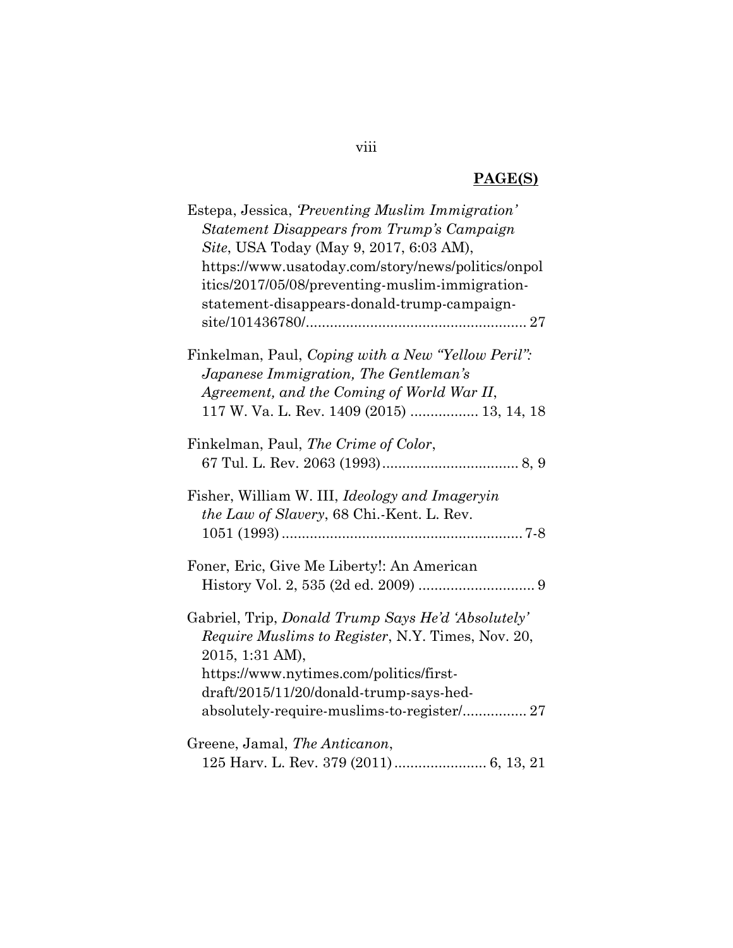viii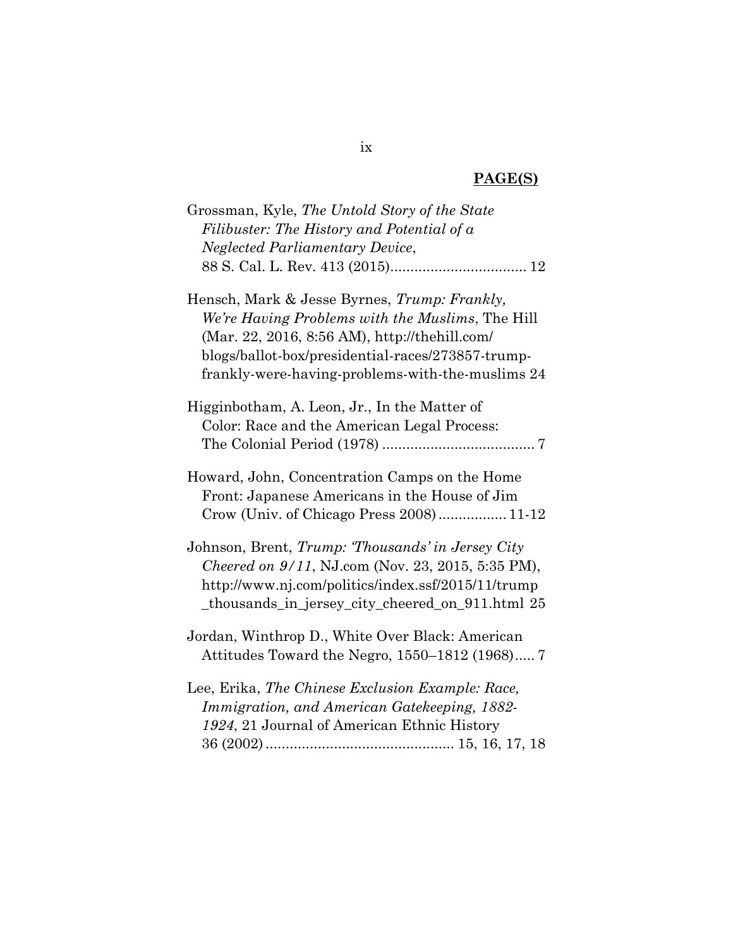| Grossman, Kyle, The Untold Story of the State                                                                                                                                                                                                              |
|------------------------------------------------------------------------------------------------------------------------------------------------------------------------------------------------------------------------------------------------------------|
| Filibuster: The History and Potential of a                                                                                                                                                                                                                 |
| <b>Neglected Parliamentary Device,</b>                                                                                                                                                                                                                     |
|                                                                                                                                                                                                                                                            |
| Hensch, Mark & Jesse Byrnes, Trump: Frankly,<br>We're Having Problems with the Muslims, The Hill<br>(Mar. 22, 2016, 8:56 AM), http://thehill.com/<br>blogs/ballot-box/presidential-races/273857-trump-<br>frankly-were-having-problems-with-the-muslims 24 |
| Higginbotham, A. Leon, Jr., In the Matter of                                                                                                                                                                                                               |
| Color: Race and the American Legal Process:                                                                                                                                                                                                                |
|                                                                                                                                                                                                                                                            |
| Howard, John, Concentration Camps on the Home                                                                                                                                                                                                              |
| Front: Japanese Americans in the House of Jim                                                                                                                                                                                                              |
| Crow (Univ. of Chicago Press 2008) 11-12                                                                                                                                                                                                                   |
| Johnson, Brent, Trump: Thousands' in Jersey City                                                                                                                                                                                                           |
| <i>Cheered on 9/11</i> , NJ.com (Nov. 23, 2015, 5:35 PM),                                                                                                                                                                                                  |
| http://www.nj.com/politics/index.ssf/2015/11/trump                                                                                                                                                                                                         |
| _thousands_in_jersey_city_cheered_on_911.html 25                                                                                                                                                                                                           |
| Jordan, Winthrop D., White Over Black: American                                                                                                                                                                                                            |
| Attitudes Toward the Negro, 1550–1812 (1968) 7                                                                                                                                                                                                             |
| Lee, Erika, The Chinese Exclusion Example: Race,                                                                                                                                                                                                           |
| Immigration, and American Gatekeeping, 1882-                                                                                                                                                                                                               |
| 1924, 21 Journal of American Ethnic History                                                                                                                                                                                                                |
|                                                                                                                                                                                                                                                            |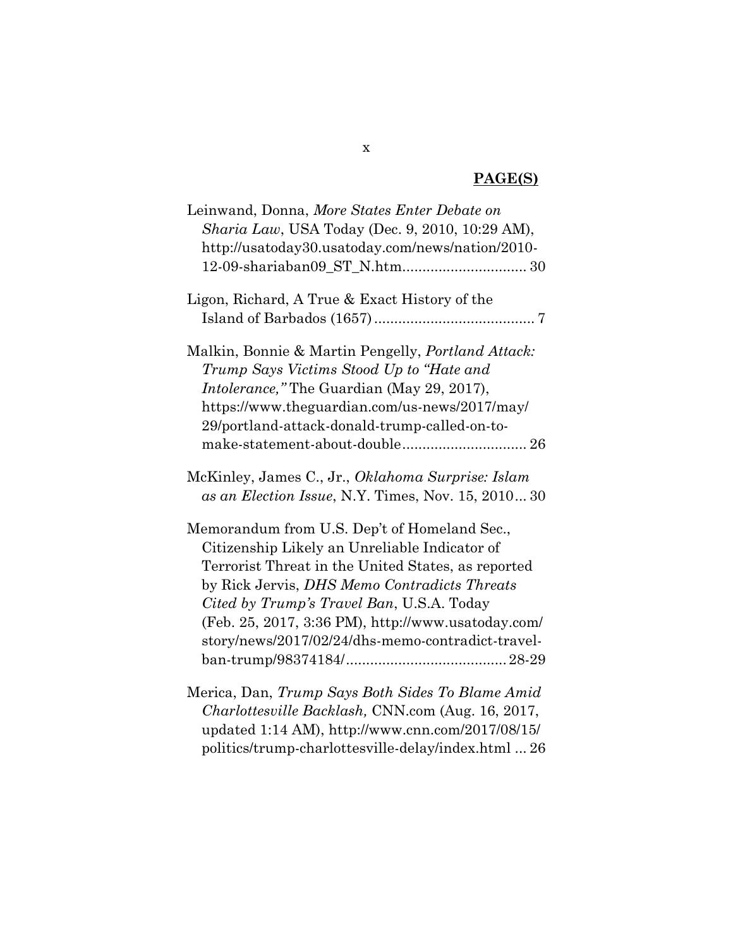| Leinwand, Donna, More States Enter Debate on                                                            |
|---------------------------------------------------------------------------------------------------------|
| <i>Sharia Law</i> , USA Today (Dec. 9, 2010, 10:29 AM),                                                 |
| http://usatoday30.usatoday.com/news/nation/2010-                                                        |
|                                                                                                         |
| Ligon, Richard, A True & Exact History of the                                                           |
|                                                                                                         |
| Malkin, Bonnie & Martin Pengelly, <i>Portland Attack</i> :                                              |
| Trump Says Victims Stood Up to "Hate and                                                                |
| <i>Intolerance</i> ," The Guardian (May 29, 2017),                                                      |
| https://www.theguardian.com/us-news/2017/may/                                                           |
| 29/portland-attack-donald-trump-called-on-to-                                                           |
|                                                                                                         |
| McKinley, James C., Jr., Oklahoma Surprise: Islam<br>as an Election Issue, N.Y. Times, Nov. 15, 2010 30 |
| Memorandum from U.S. Dep't of Homeland Sec.,                                                            |
| Citizenship Likely an Unreliable Indicator of                                                           |
| Terrorist Threat in the United States, as reported                                                      |
| by Rick Jervis, DHS Memo Contradicts Threats                                                            |
| Cited by Trump's Travel Ban, U.S.A. Today                                                               |
| (Feb. 25, 2017, 3:36 PM), http://www.usatoday.com/                                                      |
| story/news/2017/02/24/dhs-memo-contradict-travel-                                                       |
|                                                                                                         |
|                                                                                                         |
| Merica, Dan, Trump Says Both Sides To Blame Amid                                                        |
| <i>Charlottesville Backlash, CNN.com (Aug. 16, 2017,</i>                                                |
| updated 1:14 AM), http://www.cnn.com/2017/08/15/                                                        |

politics/trump-charlottesville-delay/index.html ... 26

x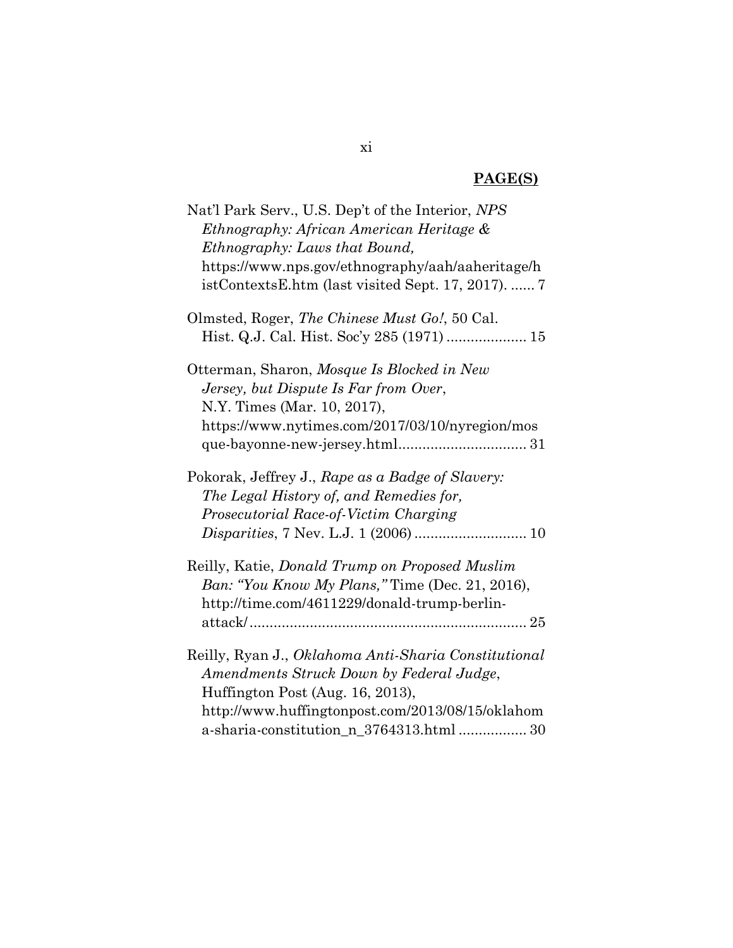| Nat'l Park Serv., U.S. Dep't of the Interior, NPS    |
|------------------------------------------------------|
| Ethnography: African American Heritage &             |
| Ethnography: Laws that Bound,                        |
| https://www.nps.gov/ethnography/aah/aaheritage/h     |
| istContextsE.htm (last visited Sept. 17, 2017).  7   |
| Olmsted, Roger, The Chinese Must Go!, 50 Cal.        |
|                                                      |
| Otterman, Sharon, Mosque Is Blocked in New           |
| Jersey, but Dispute Is Far from Over,                |
| N.Y. Times (Mar. 10, 2017),                          |
| https://www.nytimes.com/2017/03/10/nyregion/mos      |
|                                                      |
| Pokorak, Jeffrey J., Rape as a Badge of Slavery:     |
| The Legal History of, and Remedies for,              |
| Prosecutorial Race-of-Victim Charging                |
|                                                      |
| Reilly, Katie, Donald Trump on Proposed Muslim       |
| Ban: "You Know My Plans," Time (Dec. 21, 2016),      |
| http://time.com/4611229/donald-trump-berlin-         |
|                                                      |
| Reilly, Ryan J., Oklahoma Anti-Sharia Constitutional |
| Amendments Struck Down by Federal Judge,             |
| Huffington Post (Aug. 16, 2013),                     |
| http://www.huffingtonpost.com/2013/08/15/oklahom     |
| a-sharia-constitution_n_3764313.html  30             |

### xi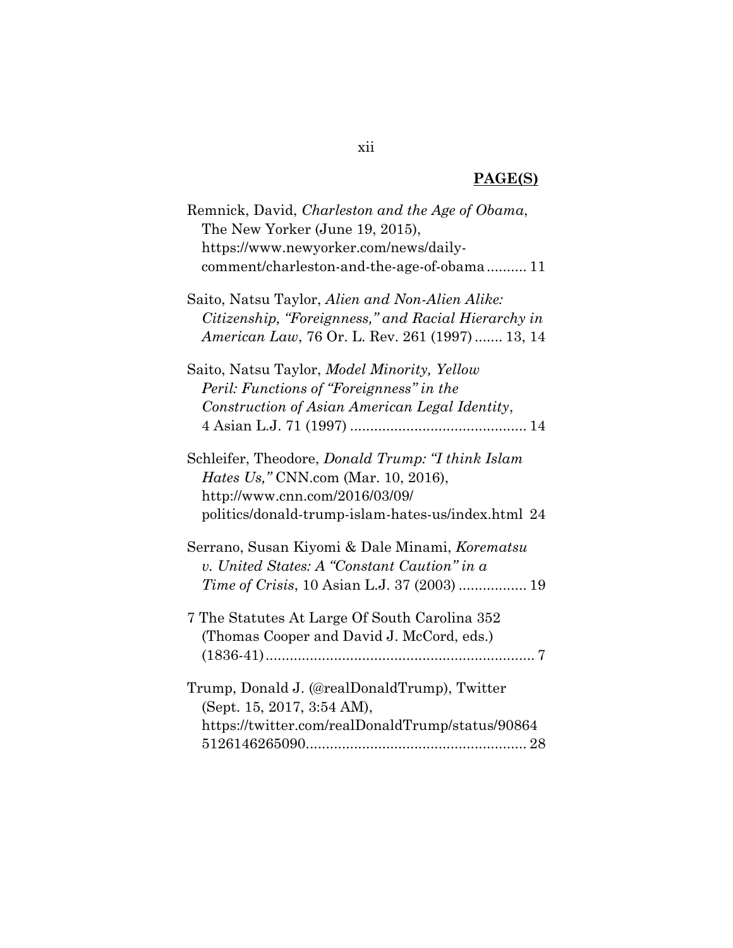| Remnick, David, Charleston and the Age of Obama,<br>The New Yorker (June 19, 2015),                     |
|---------------------------------------------------------------------------------------------------------|
| https://www.newyorker.com/news/daily-                                                                   |
| comment/charleston-and-the-age-of-obama 11                                                              |
| Saito, Natsu Taylor, Alien and Non-Alien Alike:                                                         |
| Citizenship, "Foreignness," and Racial Hierarchy in                                                     |
| <i>American Law</i> , 76 Or. L. Rev. 261 (1997) 13, 14                                                  |
| Saito, Natsu Taylor, <i>Model Minority</i> , <i>Yellow</i>                                              |
| Peril: Functions of "Foreignness" in the                                                                |
| Construction of Asian American Legal Identity,                                                          |
|                                                                                                         |
| Schleifer, Theodore, <i>Donald Trump: "I think Islam</i><br><i>Hates Us,</i> " CNN.com (Mar. 10, 2016), |
| http://www.cnn.com/2016/03/09/                                                                          |
| politics/donald-trump-islam-hates-us/index.html 24                                                      |
| Serrano, Susan Kiyomi & Dale Minami, Korematsu<br>v. United States: A "Constant Caution" in a           |
| <i>Time of Crisis</i> , 10 Asian L.J. 37 (2003)  19                                                     |
|                                                                                                         |
| 7 The Statutes At Large Of South Carolina 352                                                           |
| (Thomas Cooper and David J. McCord, eds.)                                                               |
|                                                                                                         |
| Trump, Donald J. (@realDonaldTrump), Twitter                                                            |
| (Sept. 15, 2017, 3:54 AM),                                                                              |
| https://twitter.com/realDonaldTrump/status/90864                                                        |
|                                                                                                         |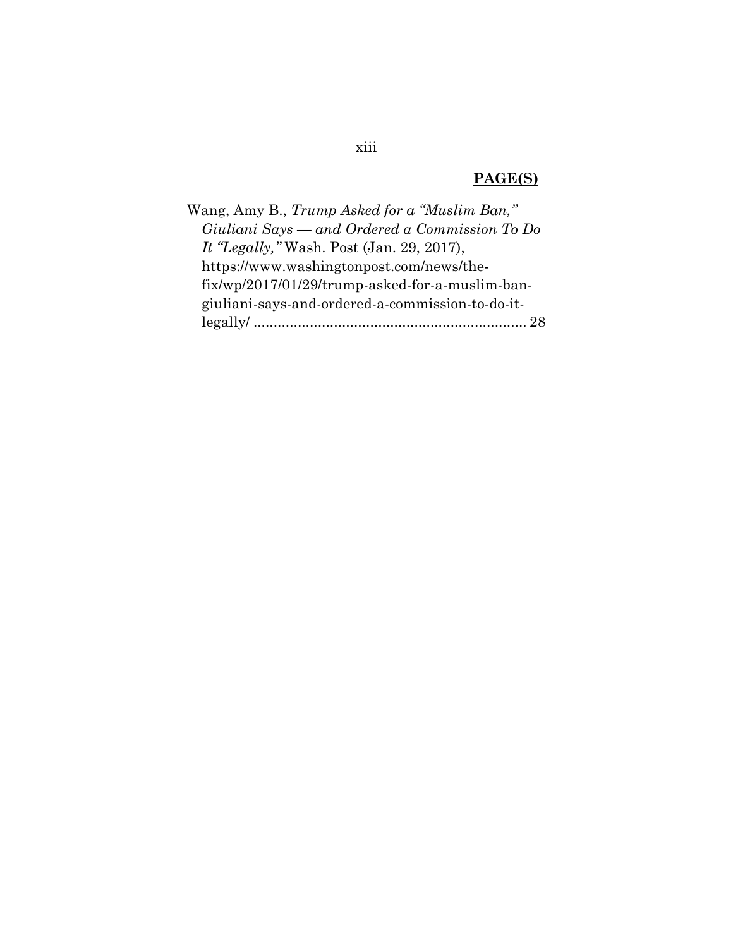| Wang, Amy B., Trump Asked for a "Muslim Ban,"    |  |
|--------------------------------------------------|--|
| Giuliani Says — and Ordered a Commission To Do   |  |
| It "Legally," Wash. Post (Jan. 29, 2017),        |  |
| https://www.washingtonpost.com/news/the-         |  |
| fix/wp/2017/01/29/trump-asked-for-a-muslim-ban-  |  |
| giuliani-says-and-ordered-a-commission-to-do-it- |  |
|                                                  |  |
|                                                  |  |

# xiii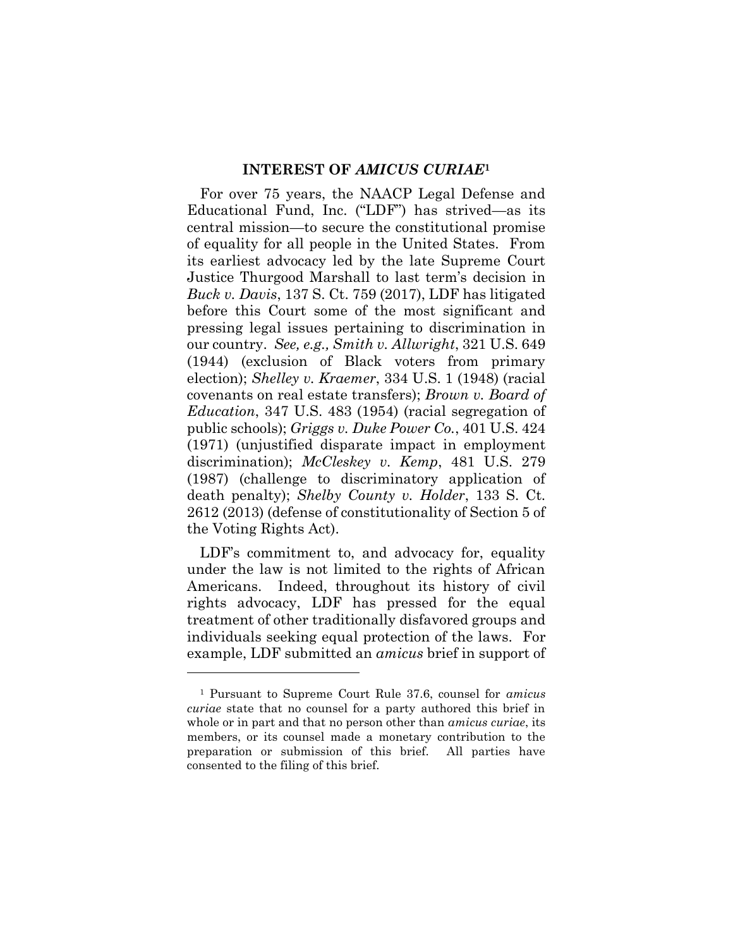#### **INTEREST OF** *AMICUS CURIAE***<sup>1</sup>**

For over 75 years, the NAACP Legal Defense and Educational Fund, Inc. ("LDF") has strived—as its central mission—to secure the constitutional promise of equality for all people in the United States. From its earliest advocacy led by the late Supreme Court Justice Thurgood Marshall to last term's decision in *Buck v. Davis*, 137 S. Ct. 759 (2017), LDF has litigated before this Court some of the most significant and pressing legal issues pertaining to discrimination in our country. *See, e.g., Smith v. Allwright*, 321 U.S. 649 (1944) (exclusion of Black voters from primary election); *Shelley v. Kraemer*, 334 U.S. 1 (1948) (racial covenants on real estate transfers); *Brown v. Board of Education*, 347 U.S. 483 (1954) (racial segregation of public schools); *Griggs v. Duke Power Co.*, 401 U.S. 424 (1971) (unjustified disparate impact in employment discrimination); *McCleskey v. Kemp*, 481 U.S. 279 (1987) (challenge to discriminatory application of death penalty); *Shelby County v. Holder*, 133 S. Ct. 2612 (2013) (defense of constitutionality of Section 5 of the Voting Rights Act).

LDF's commitment to, and advocacy for, equality under the law is not limited to the rights of African Americans. Indeed, throughout its history of civil rights advocacy, LDF has pressed for the equal treatment of other traditionally disfavored groups and individuals seeking equal protection of the laws. For example, LDF submitted an *amicus* brief in support of

<sup>1</sup> Pursuant to Supreme Court Rule 37.6, counsel for *amicus curiae* state that no counsel for a party authored this brief in whole or in part and that no person other than *amicus curiae*, its members, or its counsel made a monetary contribution to the preparation or submission of this brief. All parties have consented to the filing of this brief.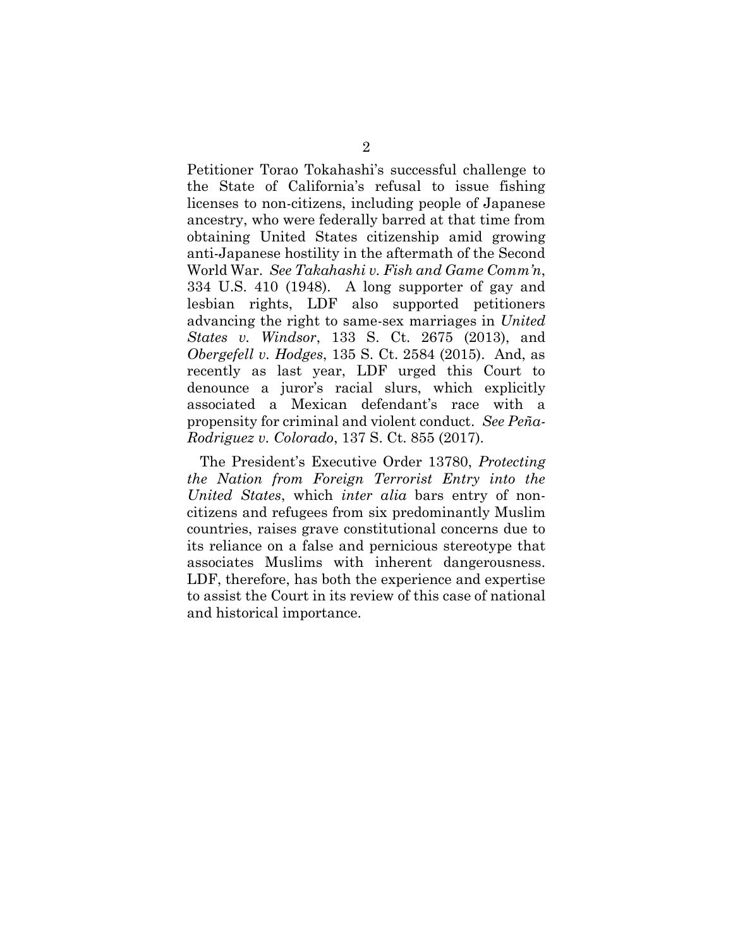Petitioner Torao Tokahashi's successful challenge to the State of California's refusal to issue fishing licenses to non-citizens, including people of Japanese ancestry, who were federally barred at that time from obtaining United States citizenship amid growing anti-Japanese hostility in the aftermath of the Second World War. *See Takahashi v. Fish and Game Comm'n*, 334 U.S. 410 (1948). A long supporter of gay and lesbian rights, LDF also supported petitioners advancing the right to same-sex marriages in *United States v. Windsor*, 133 S. Ct. 2675 (2013), and *Obergefell v. Hodges*, 135 S. Ct. 2584 (2015). And, as recently as last year, LDF urged this Court to denounce a juror's racial slurs, which explicitly associated a Mexican defendant's race with a propensity for criminal and violent conduct. *See Peña-Rodriguez v. Colorado*, 137 S. Ct. 855 (2017).

The President's Executive Order 13780, *Protecting the Nation from Foreign Terrorist Entry into the United States*, which *inter alia* bars entry of noncitizens and refugees from six predominantly Muslim countries, raises grave constitutional concerns due to its reliance on a false and pernicious stereotype that associates Muslims with inherent dangerousness. LDF, therefore, has both the experience and expertise to assist the Court in its review of this case of national and historical importance.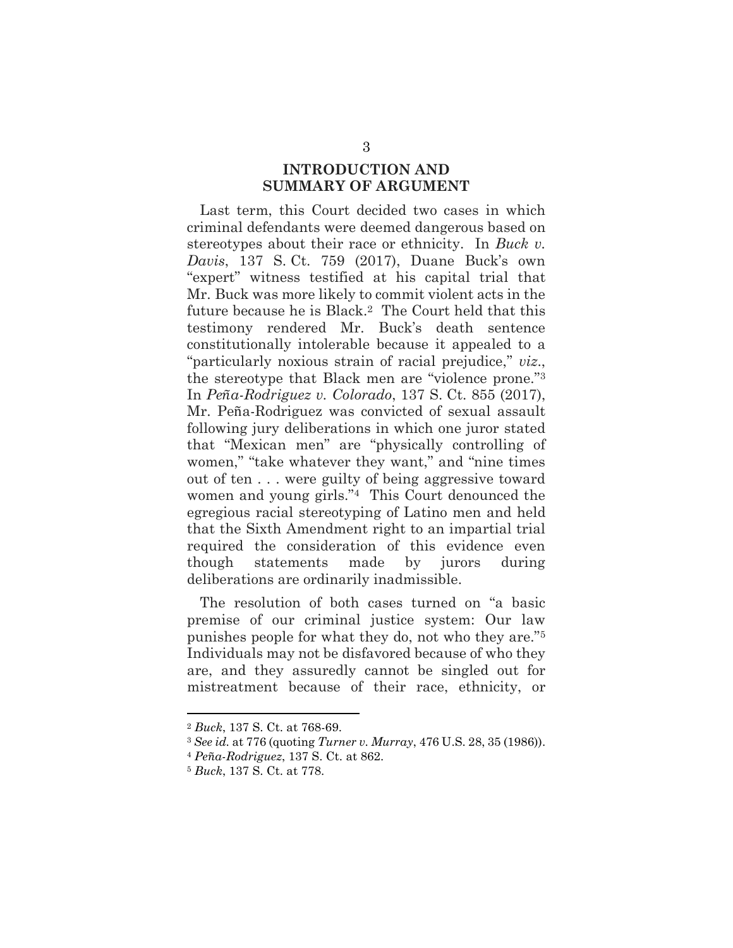### **INTRODUCTION AND SUMMARY OF ARGUMENT**

Last term, this Court decided two cases in which criminal defendants were deemed dangerous based on stereotypes about their race or ethnicity. In *Buck v. Davis*, 137 S. Ct. 759 (2017), Duane Buck's own "expert" witness testified at his capital trial that Mr. Buck was more likely to commit violent acts in the future because he is Black.2 The Court held that this testimony rendered Mr. Buck's death sentence constitutionally intolerable because it appealed to a "particularly noxious strain of racial prejudice," *viz*., the stereotype that Black men are "violence prone." 3 In *Pe*̃*a-Rodriguez v. Colorado*, 137 S. Ct. 855 (2017), Mr. Peña-Rodriguez was convicted of sexual assault following jury deliberations in which one juror stated that "Mexican men" are "physically controlling of women," "take whatever they want," and "nine times out of ten . . . were guilty of being aggressive toward women and young girls."4 This Court denounced the egregious racial stereotyping of Latino men and held that the Sixth Amendment right to an impartial trial required the consideration of this evidence even though statements made by jurors during deliberations are ordinarily inadmissible.

The resolution of both cases turned on "a basic premise of our criminal justice system: Our law punishes people for what they do, not who they are."<sup>5</sup> Individuals may not be disfavored because of who they are, and they assuredly cannot be singled out for mistreatment because of their race, ethnicity, or

<sup>2</sup> *Buck*, 137 S. Ct. at 768-69.

<sup>3</sup> *See id.* at 776 (quoting *Turner v. Murray*, 476 U.S. 28, 35 (1986)).

<sup>4</sup> *Pe*̃*a-Rodriguez*, 137 S. Ct. at 862.

<sup>5</sup> *Buck*, 137 S. Ct. at 778.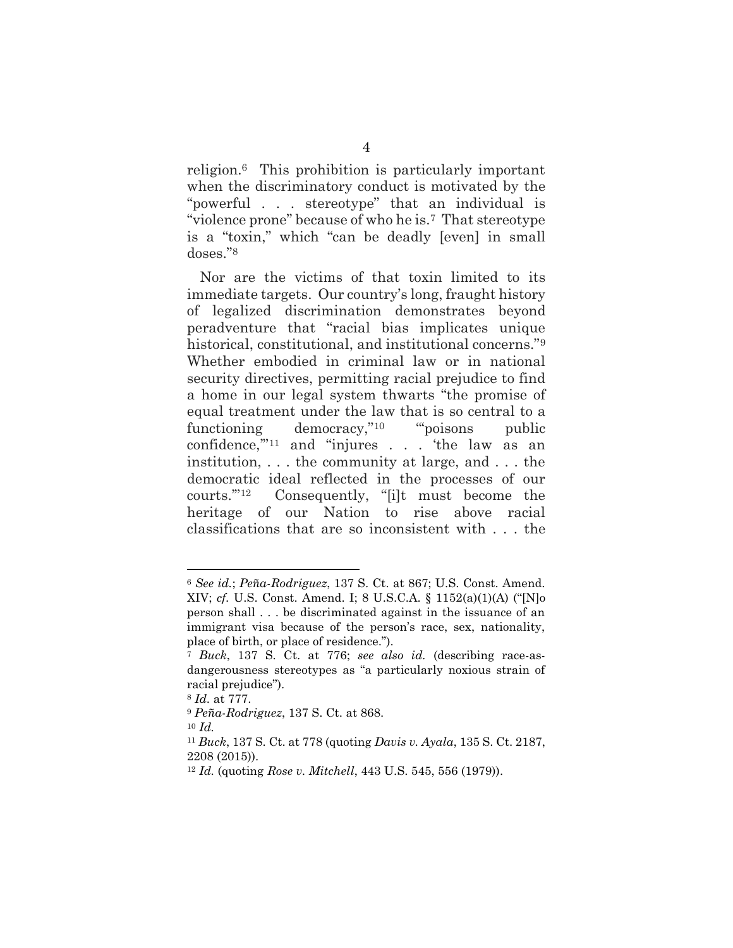religion. <sup>6</sup> This prohibition is particularly important when the discriminatory conduct is motivated by the "powerful . . . stereotype" that an individual is "violence prone" because of who he is.7 That stereotype is a "toxin," which "can be deadly [even] in small doses."<sup>8</sup>

Nor are the victims of that toxin limited to its immediate targets. Our country's long, fraught history of legalized discrimination demonstrates beyond peradventure that "racial bias implicates unique historical, constitutional, and institutional concerns."<sup>9</sup> Whether embodied in criminal law or in national security directives, permitting racial prejudice to find a home in our legal system thwarts "the promise of equal treatment under the law that is so central to a functioning democracy,"<sup>10</sup> "poisons public confidence,'"<sup>11</sup> and "injures . . . 'the law as an institution, . . . the community at large, and . . . the democratic ideal reflected in the processes of our courts.'" Consequently, "[i]t must become the heritage of our Nation to rise above racial classifications that are so inconsistent with . . . the

<sup>6</sup> *See id.*; *Pe*̃*a-Rodriguez*, 137 S. Ct. at 867; U.S. Const. Amend. XIV; *cf.* U.S. Const. Amend. I; 8 U.S.C.A. § 1152(a)(1)(A) ("[N]o person shall . . . be discriminated against in the issuance of an immigrant visa because of the person's race, sex, nationality, place of birth, or place of residence.").

<sup>7</sup> *Buck*, 137 S. Ct. at 776; *see also id.* (describing race-asdangerousness stereotypes as "a particularly noxious strain of racial prejudice").

<sup>8</sup> *Id.* at 777.

<sup>9</sup> *Pe*̃*a-Rodriguez*, 137 S. Ct. at 868.

<sup>10</sup> *Id.*

<sup>11</sup> *Buck*, 137 S. Ct. at 778 (quoting *Davis v. Ayala*, 135 S. Ct. 2187, 2208 (2015)).

<sup>12</sup> *Id.* (quoting *Rose v. Mitchell*, 443 U.S. 545, 556 (1979)).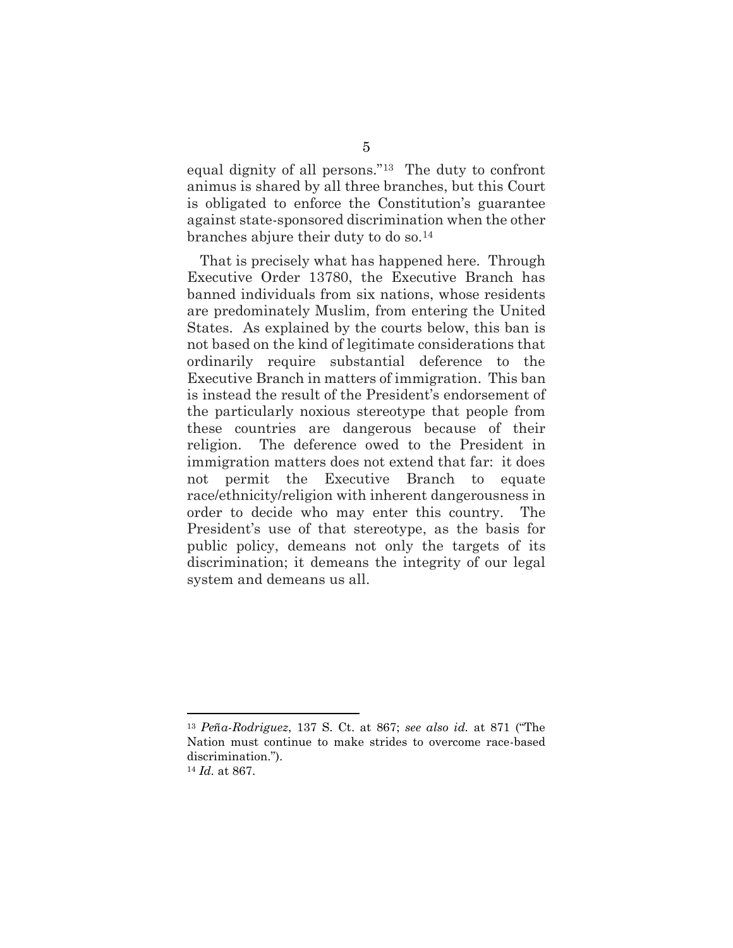equal dignity of all persons."13 The duty to confront animus is shared by all three branches, but this Court is obligated to enforce the Constitution's guarantee against state-sponsored discrimination when the other branches abjure their duty to do so.<sup>14</sup>

That is precisely what has happened here. Through Executive Order 13780, the Executive Branch has banned individuals from six nations, whose residents are predominately Muslim, from entering the United States. As explained by the courts below, this ban is not based on the kind of legitimate considerations that ordinarily require substantial deference to the Executive Branch in matters of immigration. This ban is instead the result of the President's endorsement of the particularly noxious stereotype that people from these countries are dangerous because of their religion. The deference owed to the President in immigration matters does not extend that far: it does not permit the Executive Branch to equate race/ethnicity/religion with inherent dangerousness in order to decide who may enter this country. The President's use of that stereotype, as the basis for public policy, demeans not only the targets of its discrimination; it demeans the integrity of our legal system and demeans us all.

<sup>13</sup> *Pe*̃*a-Rodriguez*, 137 S. Ct. at 867; *see also id.* at 871 ("The Nation must continue to make strides to overcome race-based discrimination.").

<sup>14</sup> *Id.* at 867.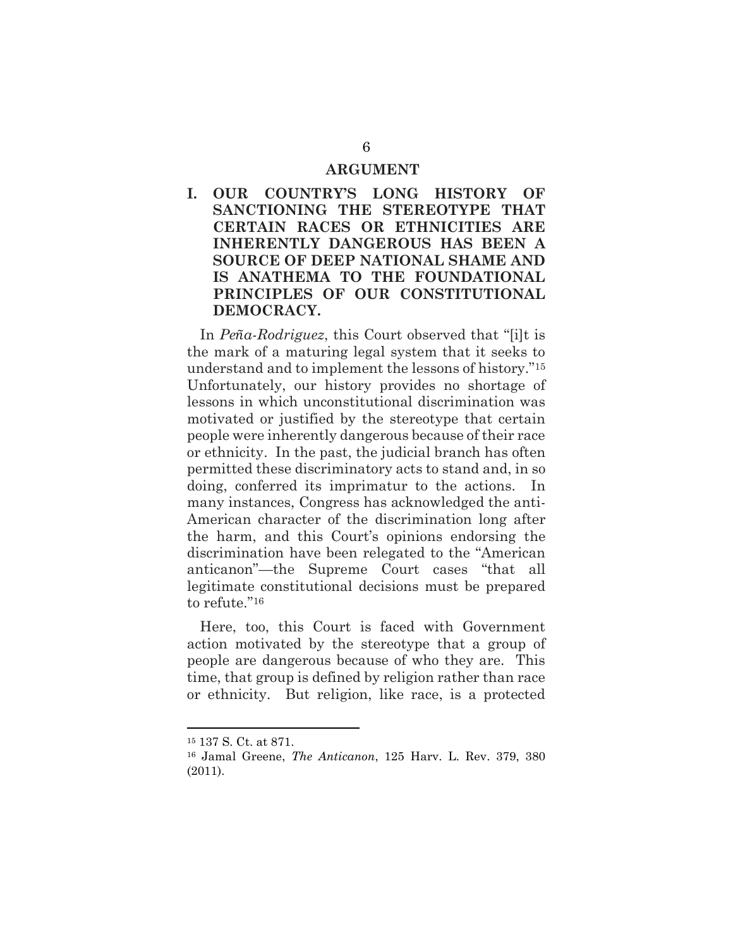#### **ARGUMENT**

**I. OUR COUNTRY'S LONG HISTORY OF SANCTIONING THE STEREOTYPE THAT CERTAIN RACES OR ETHNICITIES ARE INHERENTLY DANGEROUS HAS BEEN A SOURCE OF DEEP NATIONAL SHAME AND IS ANATHEMA TO THE FOUNDATIONAL PRINCIPLES OF OUR CONSTITUTIONAL DEMOCRACY.** 

In *Pe*̃*a-Rodriguez*, this Court observed that "[i]t is the mark of a maturing legal system that it seeks to understand and to implement the lessons of history."<sup>15</sup> Unfortunately, our history provides no shortage of lessons in which unconstitutional discrimination was motivated or justified by the stereotype that certain people were inherently dangerous because of their race or ethnicity. In the past, the judicial branch has often permitted these discriminatory acts to stand and, in so doing, conferred its imprimatur to the actions. many instances, Congress has acknowledged the anti-American character of the discrimination long after the harm, and this Court's opinions endorsing the discrimination have been relegated to the "American anticanon"—the Supreme Court cases "that all legitimate constitutional decisions must be prepared to refute."<sup>16</sup>

Here, too, this Court is faced with Government action motivated by the stereotype that a group of people are dangerous because of who they are. This time, that group is defined by religion rather than race or ethnicity. But religion, like race, is a protected

<sup>15</sup> 137 S. Ct. at 871.

<sup>16</sup> Jamal Greene, *The Anticanon*, 125 Harv. L. Rev. 379, 380 (2011).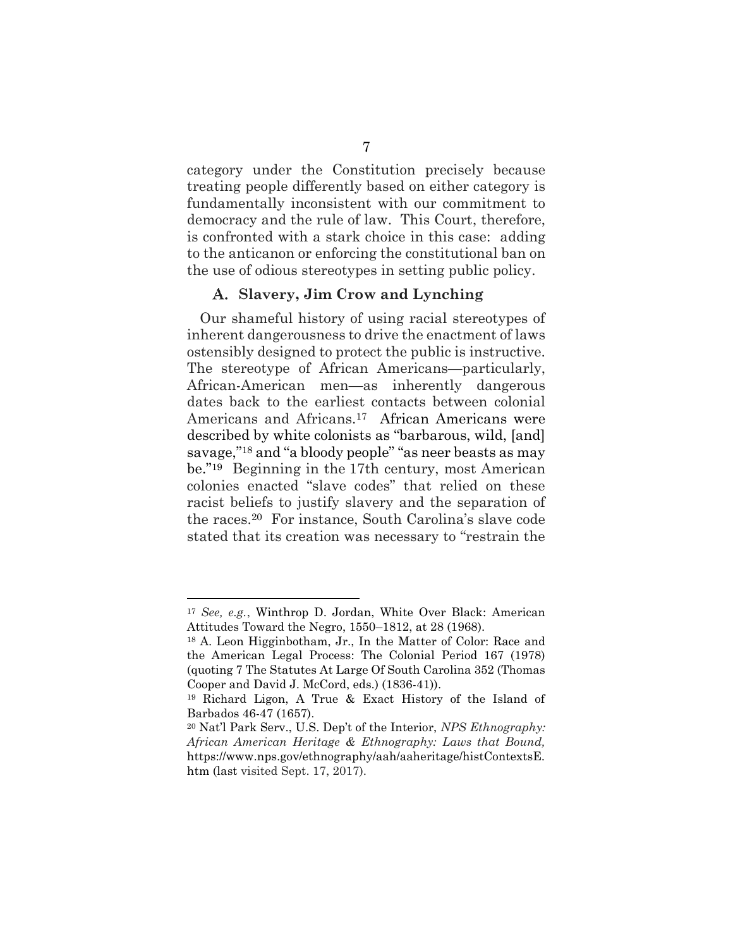category under the Constitution precisely because treating people differently based on either category is fundamentally inconsistent with our commitment to democracy and the rule of law. This Court, therefore, is confronted with a stark choice in this case: adding to the anticanon or enforcing the constitutional ban on the use of odious stereotypes in setting public policy.

#### **Slavery, Jim Crow and Lynching**

Our shameful history of using racial stereotypes of inherent dangerousness to drive the enactment of laws ostensibly designed to protect the public is instructive. The stereotype of African Americans—particularly, African-American men—as inherently dangerous dates back to the earliest contacts between colonial Americans and Africans.17 African Americans were described by white colonists as "barbarous, wild, [and] savage,"<sup>18</sup> and "a bloody people" "as neer beasts as may be."19 Beginning in the 17th century, most American colonies enacted "slave codes" that relied on these racist beliefs to justify slavery and the separation of the races.<sup>20</sup> For instance, South Carolina's slave code stated that its creation was necessary to "restrain the

 $\ddot{\phantom{a}}$ 

<sup>17</sup> *See, e.g.*, Winthrop D. Jordan, White Over Black: American Attitudes Toward the Negro, 1550–1812, at 28 (1968).

<sup>18</sup> A. Leon Higginbotham, Jr., In the Matter of Color: Race and the American Legal Process: The Colonial Period 167 (1978) (quoting 7 The Statutes At Large Of South Carolina 352 (Thomas Cooper and David J. McCord, eds.) (1836-41)).

<sup>19</sup> Richard Ligon, A True & Exact History of the Island of Barbados 46-47 (1657).

<sup>20</sup> Nat'l Park Serv., U.S. Dep't of the Interior, *NPS Ethnography: African American Heritage & Ethnography: Laws that Bound,* https://www.nps.gov/ethnography/aah/aaheritage/histContextsE. htm (last visited Sept. 17, 2017).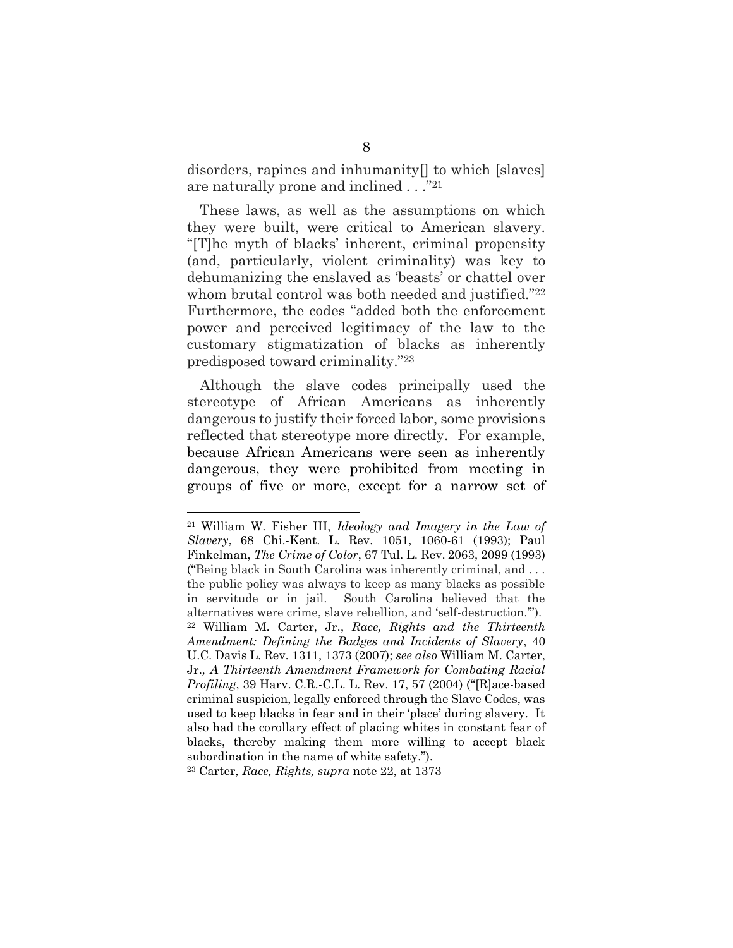disorders, rapines and inhumanity[] to which [slaves] are naturally prone and inclined . . ."<sup>21</sup>

These laws, as well as the assumptions on which they were built, were critical to American slavery. "[T]he myth of blacks' inherent, criminal propensity (and, particularly, violent criminality) was key to dehumanizing the enslaved as 'beasts' or chattel over whom brutal control was both needed and justified."<sup>22</sup> Furthermore, the codes "added both the enforcement power and perceived legitimacy of the law to the customary stigmatization of blacks as inherently predisposed toward criminality."<sup>23</sup>

Although the slave codes principally used the stereotype of African Americans as inherently dangerous to justify their forced labor, some provisions reflected that stereotype more directly. For example, because African Americans were seen as inherently dangerous, they were prohibited from meeting in groups of five or more, except for a narrow set of

<sup>23</sup> Carter, *Race, Rights, supra* note 22, at 1373

<sup>21</sup> William W. Fisher III, *Ideology and Imagery in the Law of Slavery*, 68 Chi.-Kent. L. Rev. 1051, 1060-61 (1993); Paul Finkelman, *The Crime of Color*, 67 Tul. L. Rev. [2063, 2099 \(1993\)](https://1.next.westlaw.com/Link/Document/FullText?findType=Y&serNum=0103053654&pubNum=1254&originatingDoc=If44eb98123be11dbbab99dfb880c57ae&refType=LR&originationContext=document&transitionType=DocumentItem&contextData=(sc.Search)) ("Being black in South Carolina was inherently criminal, and . . . the public policy was always to keep as many blacks as possible in servitude or in jail. South Carolina believed that the alternatives were crime, slave rebellion, and 'self-destruction.'"). <sup>22</sup> William M. Carter, Jr., *Race, Rights and the Thirteenth Amendment: Defining the Badges and Incidents of Slavery*, 40 U.C. Davis L. Rev. 1311, 1373 (2007); *see also* William M. Carter, Jr.*, A Thirteenth Amendment Framework for Combating Racial Profiling*, 39 Harv. C.R.-C.L. L. Rev. 17, 57 (2004) ("[R]ace-based criminal suspicion, legally enforced through the Slave Codes, was used to keep blacks in fear and in their 'place' during slavery. It also had the corollary effect of placing whites in constant fear of blacks, thereby making them more willing to accept black subordination in the name of white safety.").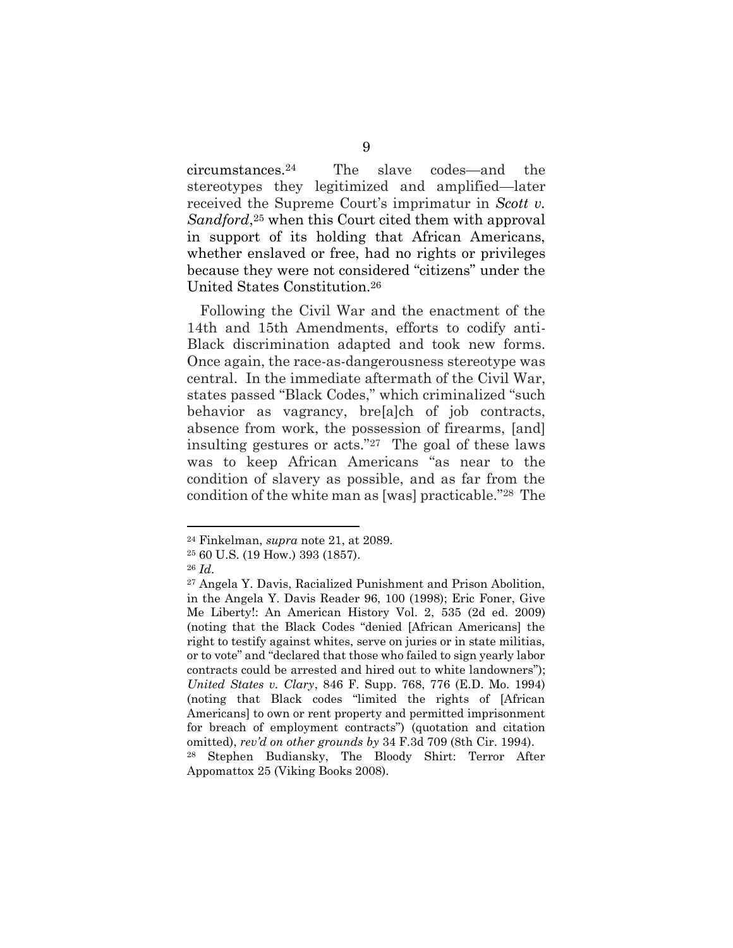circumstances. The slave codes—and the stereotypes they legitimized and amplified—later received the Supreme Court's imprimatur in *Scott v.*  Sandford,<sup>25</sup> when this Court cited them with approval in support of its holding that African Americans, whether enslaved or free, had no rights or privileges because they were not considered "citizens" under the United States Constitution.<sup>26</sup>

Following the Civil War and the enactment of the 14th and 15th Amendments, efforts to codify anti-Black discrimination adapted and took new forms. Once again, the race-as-dangerousness stereotype was central. In the immediate aftermath of the Civil War, states passed "Black Codes," which criminalized "such behavior as vagrancy, bre[a]ch of job contracts, absence from work, the possession of firearms, [and] insulting gestures or acts."27 The goal of these laws was to keep African Americans "as near to the condition of slavery as possible, and as far from the condition of the white man as [was] practicable."28 The

<sup>24</sup> Finkelman, *supra* note 21, at 2089.

<sup>25</sup> [60 U.S. \(19 How.\) 393](https://1.next.westlaw.com/Link/Document/FullText?findType=Y&pubNum=780&cite=60US393&originatingDoc=I3f275e3118c911dcb925e5882363faf9&refType=RP&originationContext=document&transitionType=DocumentItem&contextData=(sc.Search)) (1857).

<sup>26</sup> *Id*.

<sup>27</sup> Angela Y. Davis, Racialized Punishment and Prison Abolition, in the Angela Y. Davis Reader 96, 100 (1998); Eric Foner, Give Me Liberty!: An American History Vol. 2, 535 (2d ed. 2009) (noting that the Black Codes "denied [African Americans] the right to testify against whites, serve on juries or in state militias, or to vote" and "declared that those who failed to sign yearly labor contracts could be arrested and hired out to white landowners"); *United States v. Clary*, 846 F. Supp. 768, 776 (E.D. Mo. 1994) (noting that Black codes "limited the rights of [African Americans] to own or rent property and permitted imprisonment for breach of employment contracts") (quotation and citation omitted), *rev'd on other grounds by* 34 F.3d 709 (8th Cir. 1994).

<sup>28</sup> Stephen Budiansky, The Bloody Shirt: Terror After Appomattox 25 (Viking Books 2008).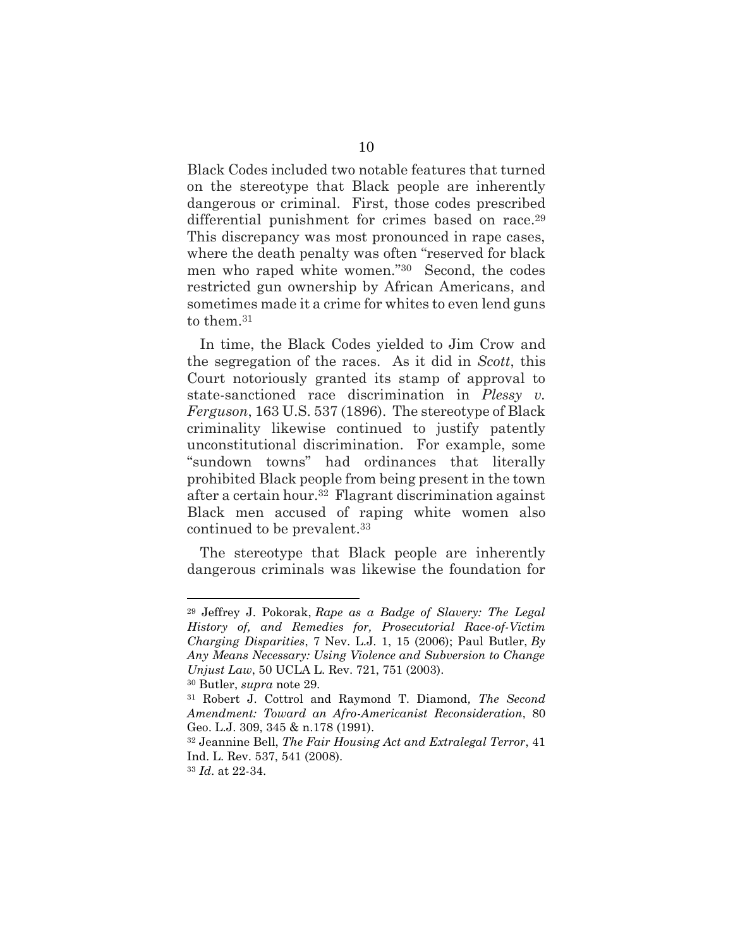Black Codes included two notable features that turned on the stereotype that Black people are inherently dangerous or criminal. First, those codes prescribed differential punishment for crimes based on race.<sup>29</sup> This discrepancy was most pronounced in rape cases, where the death penalty was often "reserved for black men who raped white women."30 Second, the codes restricted gun ownership by African Americans, and sometimes made it a crime for whites to even lend guns to them. 31

In time, the Black Codes yielded to Jim Crow and the segregation of the races. As it did in *Scott*, this Court notoriously granted its stamp of approval to state-sanctioned race discrimination in *Plessy v. Ferguson*, 163 U.S. 537 (1896). The stereotype of Black criminality likewise continued to justify patently unconstitutional discrimination. For example, some "sundown towns" had ordinances that literally prohibited Black people from being present in the town after a certain hour.32 Flagrant discrimination against Black men accused of raping white women also continued to be prevalent. <sup>33</sup>

The stereotype that Black people are inherently dangerous criminals was likewise the foundation for

 $\ddot{\phantom{a}}$ 

<sup>29</sup> Jeffrey J. Pokorak, *Rape as a Badge of Slavery: The Legal History of, and Remedies for, Prosecutorial Race-of-Victim Charging Disparities*, 7 Nev. L.J. 1, 15 (2006); Paul Butler, *By Any Means Necessary: Using Violence and Subversion to Change Unjust Law*, 50 UCLA L. Rev. 721, 751 (2003).

<sup>30</sup> Butler, *supra* note 29.

<sup>31</sup> Robert J. Cottrol and Raymond T. Diamond*, The Second Amendment: Toward an Afro-Americanist Reconsideration*, 80 Geo. L.J. 309, 345 & n.178 (1991).

<sup>32</sup> Jeannine Bell, *The Fair Housing Act and Extralegal Terror*, 41 Ind. L. Rev. 537, 541 (2008).

<sup>33</sup> *Id*. at 22-34.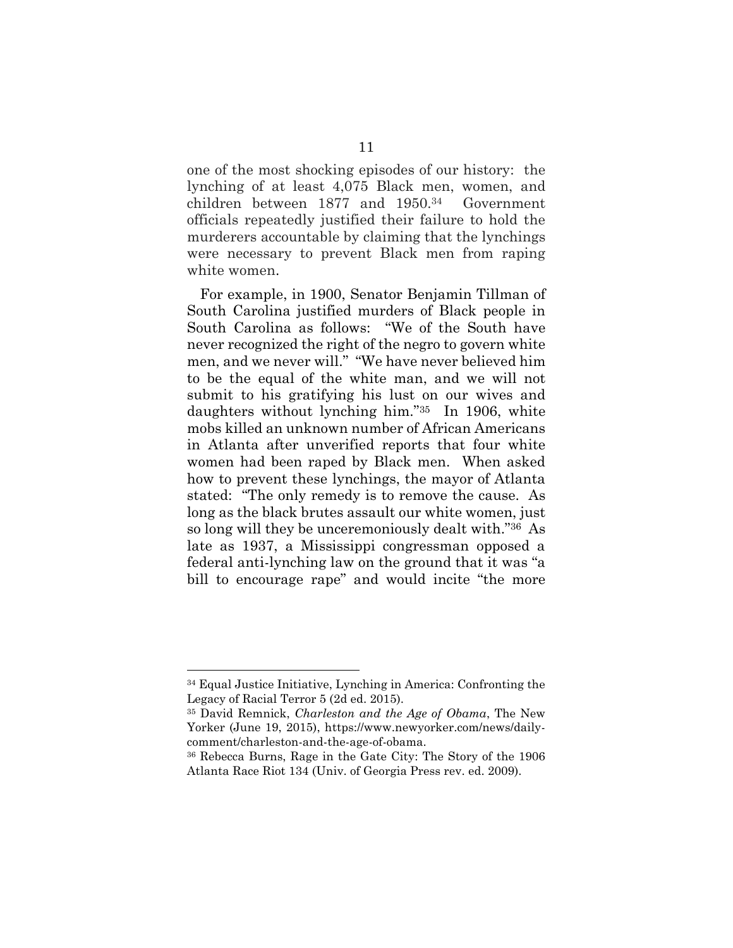one of the most shocking episodes of our history: the lynching of at least 4,075 Black men, women, and children between 1877 and 1950.<sup>34</sup> Government officials repeatedly justified their failure to hold the murderers accountable by claiming that the lynchings were necessary to prevent Black men from raping white women.

For example, in 1900, Senator Benjamin Tillman of South Carolina justified murders of Black people in South Carolina as follows: "We of the South have never recognized the right of the negro to govern white men, and we never will." "We have never believed him to be the equal of the white man, and we will not submit to his gratifying his lust on our wives and daughters without lynching him."35 In 1906, white mobs killed an unknown number of African Americans in Atlanta after unverified reports that four white women had been raped by Black men. When asked how to prevent these lynchings, the mayor of Atlanta stated: "The only remedy is to remove the cause. As long as the black brutes assault our white women, just so long will they be unceremoniously dealt with."36 As late as 1937, a Mississippi congressman opposed a federal anti-lynching law on the ground that it was "a bill to encourage rape" and would incite "the more

<sup>34</sup> Equal Justice Initiative, Lynching in America: Confronting the Legacy of Racial Terror 5 (2d ed. 2015).

<sup>35</sup> David Remnick, *Charleston and the Age of Obama*, The New Yorker (June 19, 2015), https://www.newyorker.com/news/dailycomment/charleston-and-the-age-of-obama.

<sup>36</sup> Rebecca Burns, Rage in the Gate City: The Story of the 1906 Atlanta Race Riot 134 (Univ. of Georgia Press rev. ed. 2009).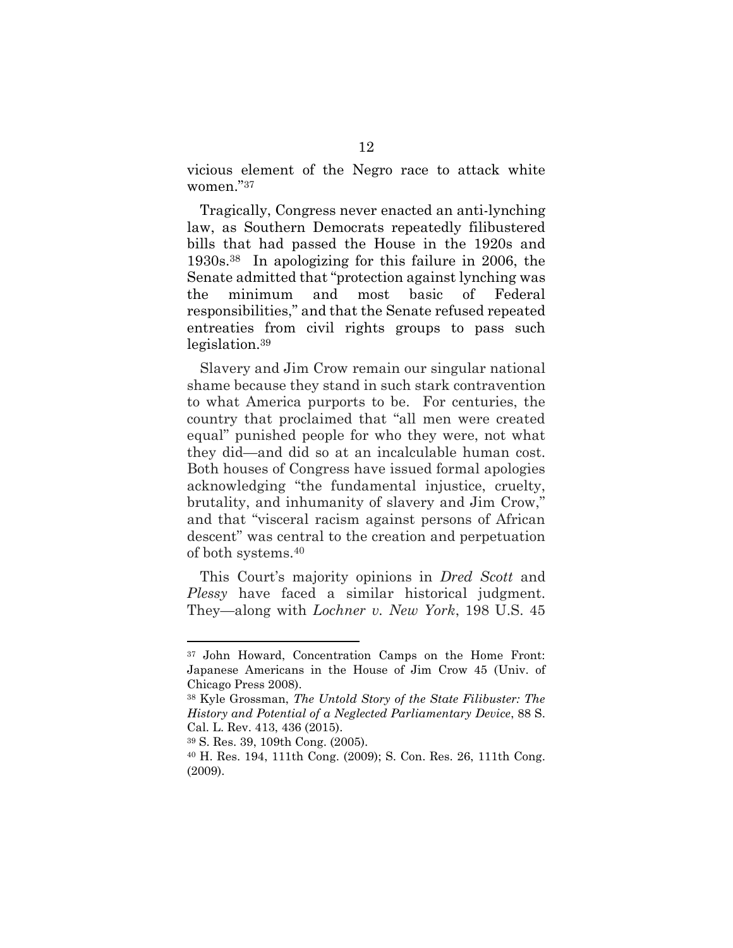vicious element of the Negro race to attack white women."<sup>37</sup>

Tragically, Congress never enacted an anti-lynching law, as Southern Democrats repeatedly filibustered bills that had passed the House in the 1920s and 1930s.38 In apologizing for this failure in 2006, the Senate admitted that "protection against lynching was the minimum and most basic of Federal responsibilities," and that the Senate refused repeated entreaties from civil rights groups to pass such legislation.<sup>39</sup>

Slavery and Jim Crow remain our singular national shame because they stand in such stark contravention to what America purports to be. For centuries, the country that proclaimed that "all men were created equal" punished people for who they were, not what they did—and did so at an incalculable human cost. Both houses of Congress have issued formal apologies acknowledging "the fundamental injustice, cruelty, brutality, and inhumanity of slavery and Jim Crow," and that "visceral racism against persons of African descent" was central to the creation and perpetuation of both systems.<sup>40</sup>

This Court's majority opinions in *Dred Scott* and *Plessy* have faced a similar historical judgment. They—along with *Lochner v. New York*, 198 U.S. 45

 $\ddot{\phantom{a}}$ 

<sup>37</sup> John Howard, Concentration Camps on the Home Front: Japanese Americans in the House of Jim Crow 45 (Univ. of Chicago Press 2008).

<sup>38</sup> Kyle Grossman, *The Untold Story of the State Filibuster: The History and Potential of a Neglected Parliamentary Device*, 88 S. Cal. L. Rev. 413, 436 (2015).

<sup>39</sup> S. Res. 39, 109th Cong. (2005).

<sup>40</sup> H. Res. 194, 111th Cong. (2009); S. Con. Res. 26, 111th Cong. (2009).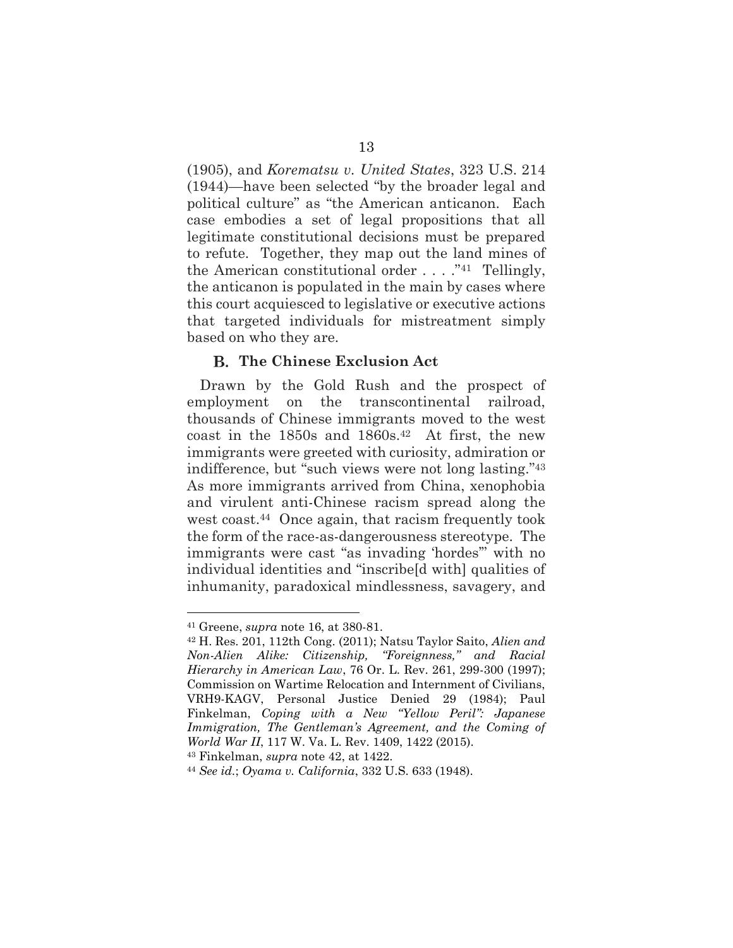(1905), and *Korematsu v. United States*, 323 U.S. 214 (1944)*—*have been selected "by the broader legal and political culture" as "the American anticanon. Each case embodies a set of legal propositions that all legitimate constitutional decisions must be prepared to refute. Together, they map out the land mines of the American constitutional order . . . ."41 Tellingly, the anticanon is populated in the main by cases where this court acquiesced to legislative or executive actions that targeted individuals for mistreatment simply based on who they are.

### **The Chinese Exclusion Act**

Drawn by the Gold Rush and the prospect of employment on the transcontinental railroad, thousands of Chinese immigrants moved to the west coast in the 1850s and 1860s.42 At first, the new immigrants were greeted with curiosity, admiration or indifference, but "such views were not long lasting."<sup>43</sup> As more immigrants arrived from China, xenophobia and virulent anti-Chinese racism spread along the west coast.<sup>44</sup> Once again, that racism frequently took the form of the race-as-dangerousness stereotype. The immigrants were cast "as invading 'hordes'" with no individual identities and "inscribe[d with] qualities of inhumanity, paradoxical mindlessness, savagery, and

 $\ddot{\phantom{a}}$ 

<sup>43</sup> Finkelman, *supra* note 42, at 1422.

<sup>41</sup> Greene, *supra* note 16, at 380-81.

<sup>42</sup> H. Res. 201, 112th Cong. (2011); Natsu Taylor Saito, *Alien and Non-Alien Alike: Citizenship, "Foreignness," and Racial Hierarchy in American Law*, 76 Or. L. Rev. 261, 299-300 (1997); Commission on Wartime Relocation and Internment of Civilians, VRH9-KAGV, Personal Justice Denied 29 (1984); Paul Finkelman, *Coping with a New "Yellow Peril": Japanese*  Immigration, The Gentleman's Agreement, and the Coming of *World War II*, 117 W. Va. L. Rev. 1409, 1422 (2015).

<sup>44</sup> *See id.*; *Oyama v. California*, 332 U.S. 633 (1948).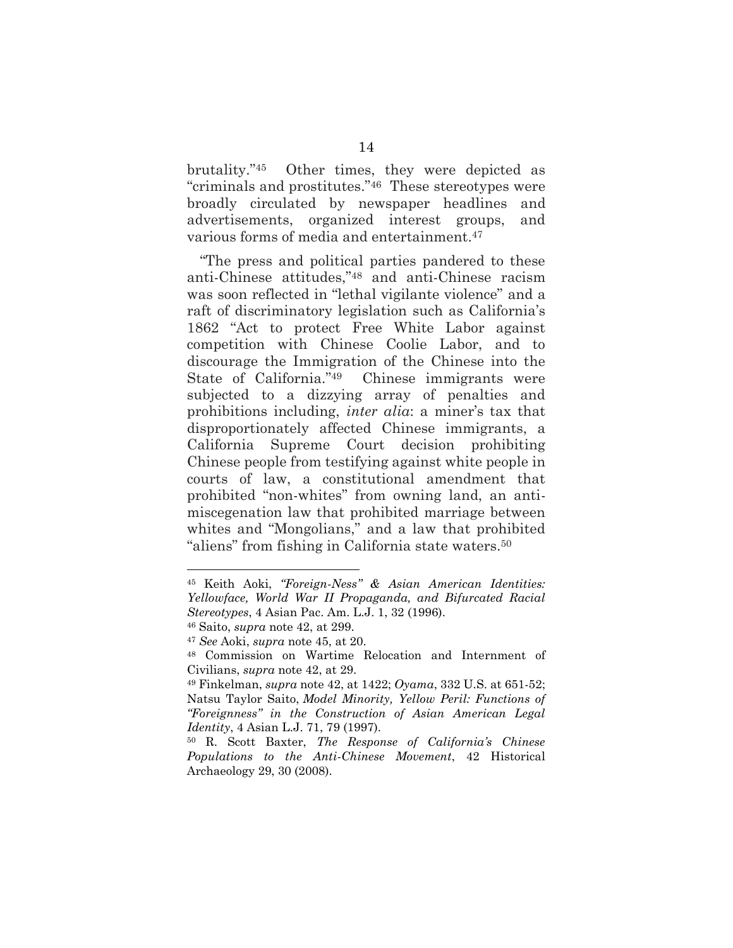brutality."<sup>45</sup> Other times, they were depicted as "criminals and prostitutes."<sup>46</sup> These stereotypes were broadly circulated by newspaper headlines and advertisements, organized interest groups, and various forms of media and entertainment.<sup>47</sup>

"The press and political parties pandered to these anti-Chinese attitudes,"<sup>48</sup> and anti-Chinese racism was soon reflected in "lethal vigilante violence" and a raft of discriminatory legislation such as California's 1862 "Act to protect Free White Labor against competition with Chinese Coolie Labor, and to discourage the Immigration of the Chinese into the State of California." Chinese immigrants were subjected to a dizzying array of penalties and prohibitions including, *inter alia*: a miner's tax that disproportionately affected Chinese immigrants, a California Supreme Court decision prohibiting Chinese people from testifying against white people in courts of law, a constitutional amendment that prohibited "non-whites" from owning land, an antimiscegenation law that prohibited marriage between whites and "Mongolians," and a law that prohibited "aliens" from fishing in California state waters.<sup>50</sup>

<sup>45</sup> Keith Aoki, *"Foreign-Ness" & Asian American Identities: Yellowface, World War II Propaganda, and Bifurcated Racial Stereotypes*, 4 Asian Pac. Am. L.J. 1, 32 (1996). <sup>46</sup> Saito, *supra* note 42, at 299.

<sup>47</sup> *See* Aoki, *supra* note 45, at 20.

<sup>48</sup> Commission on Wartime Relocation and Internment of Civilians, *supra* note 42, at 29.

<sup>49</sup> Finkelman, *supra* note 42, at 1422; *Oyama*, 332 U.S. at 651-52; Natsu Taylor Saito, *Model Minority, Yellow Peril: Functions of "Foreignness" in the Construction of Asian American Legal Identity*, 4 Asian L.J. 71, 79 (1997).

<sup>50</sup> R. Scott Baxter, *The Response of California's Chinese Populations to the Anti-Chinese Movement*, 42 Historical Archaeology 29, 30 (2008).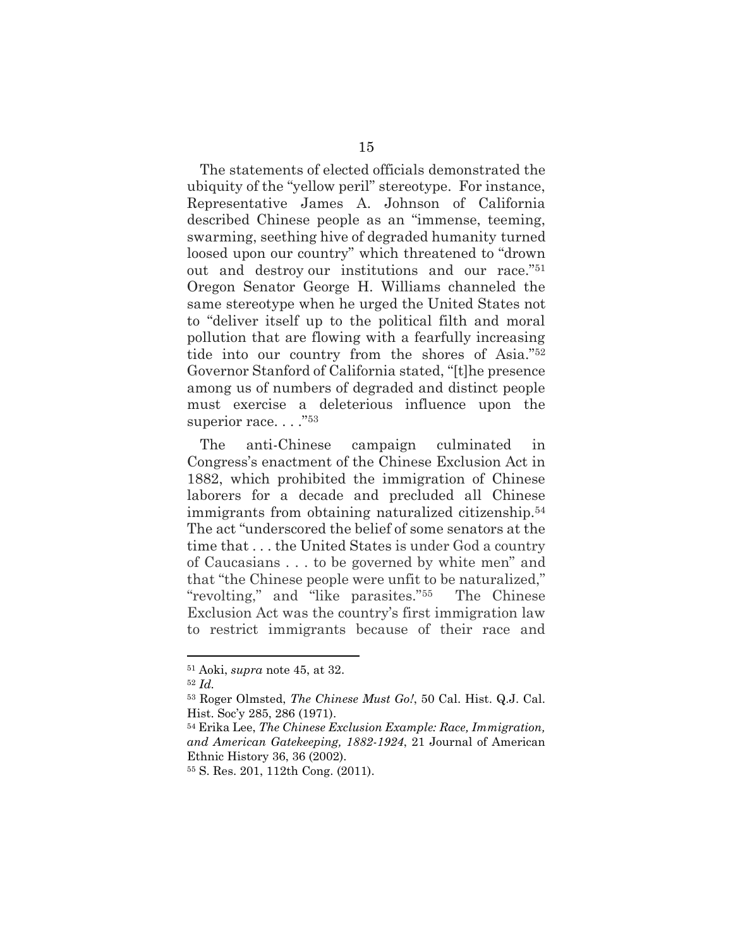The statements of elected officials demonstrated the ubiquity of the "yellow peril" stereotype. For instance, Representative James A. Johnson of California described Chinese people as an "immense, teeming, swarming, seething hive of degraded humanity turned loosed upon our country" which threatened to "drown out and destroy our institutions and our race."<sup>51</sup> Oregon Senator George H. Williams channeled the same stereotype when he urged the United States not to "deliver itself up to the political filth and moral pollution that are flowing with a fearfully increasing tide into our country from the shores of Asia."<sup>52</sup> Governor Stanford of California stated, "[t]he presence among us of numbers of degraded and distinct people must exercise a deleterious influence upon the superior race. . . . "53

The anti-Chinese campaign culminated in Congress's enactment of the Chinese Exclusion Act in 1882, which prohibited the immigration of Chinese laborers for a decade and precluded all Chinese immigrants from obtaining naturalized citizenship.<sup>54</sup> The act "underscored the belief of some senators at the time that . . . the United States is under God a country of Caucasians . . . to be governed by white men" and that "the Chinese people were unfit to be naturalized," "revolting," and "like parasites."55 The Chinese Exclusion Act was the country's first immigration law to restrict immigrants because of their race and

 $\ddot{\phantom{a}}$ 

<sup>51</sup> Aoki, *supra* note 45, at 32.

<sup>52</sup> *Id.*

<sup>53</sup> Roger Olmsted, *The Chinese Must Go!*, 50 Cal. Hist. Q.J. Cal. Hist. Soc'y 285, 286 (1971).

<sup>54</sup> Erika Lee, *The Chinese Exclusion Example: Race, Immigration, and American Gatekeeping, 1882-1924*, 21 Journal of American Ethnic History 36, 36 (2002).

<sup>55</sup> S. Res. 201, 112th Cong. (2011).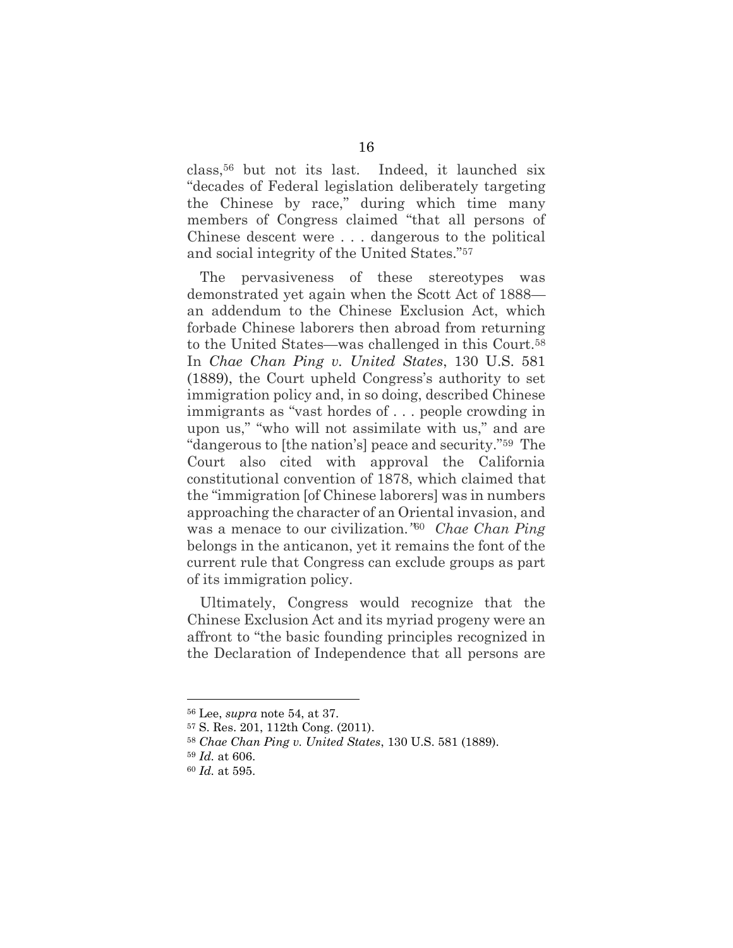class,<sup>56</sup> but not its last. Indeed, it launched six "decades of Federal legislation deliberately targeting the Chinese by race," during which time many members of Congress claimed "that all persons of Chinese descent were . . . dangerous to the political and social integrity of the United States."<sup>57</sup>

The pervasiveness of these stereotypes was demonstrated yet again when the Scott Act of 1888 an addendum to the Chinese Exclusion Act, which forbade Chinese laborers then abroad from returning to the United States—was challenged in this Court.<sup>58</sup> In *Chae Chan Ping v. United States*, 130 U.S. 581 (1889), the Court upheld Congress's authority to set immigration policy and, in so doing, described Chinese immigrants as "vast hordes of . . . people crowding in upon us," "who will not assimilate with us," and are "dangerous to [the nation's] peace and security."59 The Court also cited with approval the California constitutional convention of 1878, which claimed that the "immigration [of Chinese laborers] was in numbers approaching the character of an Oriental invasion, and was a menace to our civilization*."*<sup>60</sup> *Chae Chan Ping*  belongs in the anticanon, yet it remains the font of the current rule that Congress can exclude groups as part of its immigration policy.

Ultimately, Congress would recognize that the Chinese Exclusion Act and its myriad progeny were an affront to "the basic founding principles recognized in the Declaration of Independence that all persons are

<sup>56</sup> Lee, *supra* note 54, at 37.

<sup>57</sup> S. Res. 201, 112th Cong. (2011).

<sup>58</sup> *Chae Chan Ping v. United States*, 130 U.S. 581 (1889).

<sup>59</sup> *Id.* at 606.

<sup>60</sup> *Id.* at 595.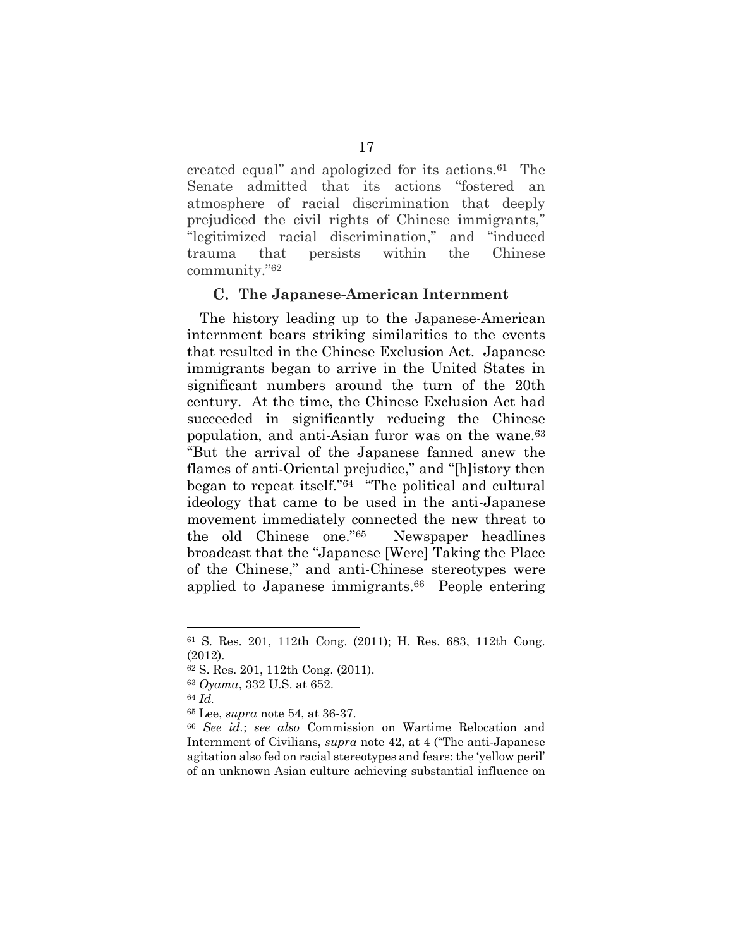created equal" and apologized for its actions.61 The Senate admitted that its actions "fostered an atmosphere of racial discrimination that deeply prejudiced the civil rights of Chinese immigrants," "legitimized racial discrimination," and "induced trauma that persists within the Chinese community."<sup>62</sup>

#### **The Japanese-American Internment**

The history leading up to the Japanese-American internment bears striking similarities to the events that resulted in the Chinese Exclusion Act. Japanese immigrants began to arrive in the United States in significant numbers around the turn of the 20th century. At the time, the Chinese Exclusion Act had succeeded in significantly reducing the Chinese population, and anti-Asian furor was on the wane.<sup>63</sup> "But the arrival of the Japanese fanned anew the flames of anti-Oriental prejudice," and "[h]istory then began to repeat itself."<sup>64</sup> "The political and cultural ideology that came to be used in the anti-Japanese movement immediately connected the new threat to the old Chinese one."65 Newspaper headlines broadcast that the "Japanese [Were] Taking the Place of the Chinese," and anti-Chinese stereotypes were applied to Japanese immigrants. <sup>66</sup> People entering

<sup>61</sup> S. Res. 201, 112th Cong. (2011); H. Res. 683, 112th Cong. (2012).

<sup>62</sup> S. Res. 201, 112th Cong. (2011).

<sup>63</sup> *Oyama*, 332 U.S. at 652.

<sup>64</sup> *Id.*

<sup>65</sup> Lee, *supra* note 54, at 36-37.

<sup>66</sup> *See id.*; *see also* Commission on Wartime Relocation and Internment of Civilians, *supra* note 42, at 4 ("The anti-Japanese agitation also fed on racial stereotypes and fears: the 'yellow peril' of an unknown Asian culture achieving substantial influence on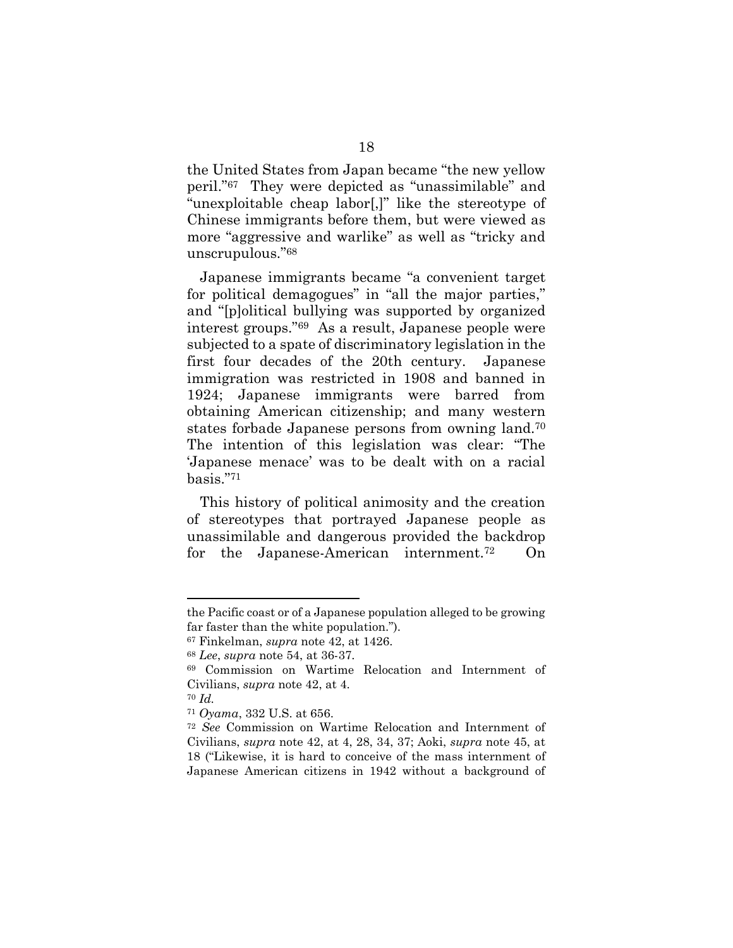the United States from Japan became "the new yellow peril."67 They were depicted as "unassimilable" and "unexploitable cheap labor[,]" like the stereotype of Chinese immigrants before them, but were viewed as more "aggressive and warlike" as well as "tricky and unscrupulous."<sup>68</sup>

Japanese immigrants became "a convenient target for political demagogues" in "all the major parties," and "[p]olitical bullying was supported by organized interest groups."69 As a result, Japanese people were subjected to a spate of discriminatory legislation in the first four decades of the 20th century. Japanese immigration was restricted in 1908 and banned in 1924; Japanese immigrants were barred from obtaining American citizenship; and many western states forbade Japanese persons from owning land.<sup>70</sup> The intention of this legislation was clear: "The 'Japanese menace' was to be dealt with on a racial basis."<sup>71</sup>

This history of political animosity and the creation of stereotypes that portrayed Japanese people as unassimilable and dangerous provided the backdrop for the Japanese-American internment.72 On

the Pacific coast or of a Japanese population alleged to be growing far faster than the white population.").

<sup>67</sup> Finkelman, *supra* note 42, at 1426.

<sup>68</sup> *Lee*, *supra* note 54, at 36-37.

<sup>69</sup> Commission on Wartime Relocation and Internment of Civilians, *supra* note 42, at 4.

<sup>70</sup> *Id.*

<sup>71</sup> *Oyama*, 332 U.S. at 656.

<sup>72</sup> *See* Commission on Wartime Relocation and Internment of Civilians, *supra* note 42, at 4, 28, 34, 37; Aoki, *supra* note 45, at 18 ("Likewise, it is hard to conceive of the mass internment of Japanese American citizens in 1942 without a background of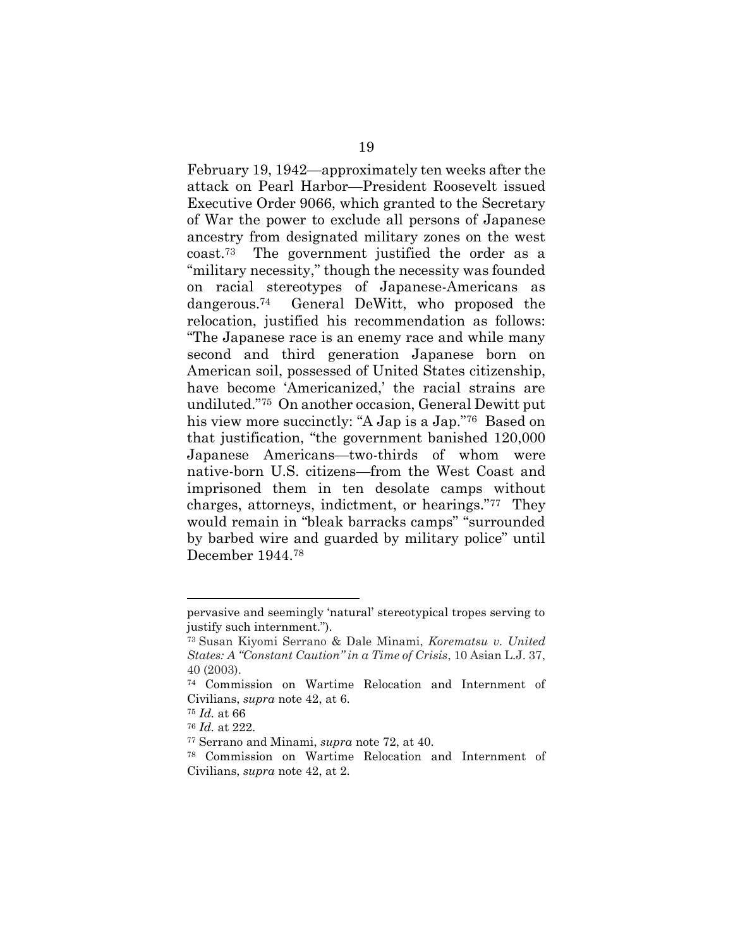February 19, 1942—approximately ten weeks after the attack on Pearl Harbor—President Roosevelt issued Executive Order 9066, which granted to the Secretary of War the power to exclude all persons of Japanese ancestry from designated military zones on the west coast.73 The government justified the order as a "military necessity," though the necessity was founded on racial stereotypes of Japanese-Americans as dangerous.<sup>74</sup> General DeWitt, who proposed the relocation, justified his recommendation as follows: "The Japanese race is an enemy race and while many second and third generation Japanese born on American soil, possessed of United States citizenship, have become 'Americanized,' the racial strains are undiluted."<sup>75</sup> On another occasion, General Dewitt put his view more succinctly: "A Jap is a Jap."<sup>76</sup> Based on that justification, "the government banished 120,000 Japanese Americans—two-thirds of whom were native-born U.S. citizens—from the West Coast and imprisoned them in ten desolate camps without charges, attorneys, indictment, or hearings."77 They would remain in "bleak barracks camps" "surrounded by barbed wire and guarded by military police" until December 1944.<sup>78</sup>

pervasive and seemingly 'natural' stereotypical tropes serving to justify such internment.").

<sup>73</sup> Susan Kiyomi Serrano & Dale Minami, *Korematsu v. United States: A "Constant Caution" in a Time of Crisis*, 10 Asian L.J. 37, 40 (2003).

<sup>74</sup> Commission on Wartime Relocation and Internment of Civilians, *supra* note 42, at 6.

<sup>75</sup> *Id.* at 66

<sup>76</sup> *Id.* at 222.

<sup>77</sup> Serrano and Minami, *supra* note 72, at 40.

<sup>78</sup> Commission on Wartime Relocation and Internment of Civilians, *supra* note 42, at 2.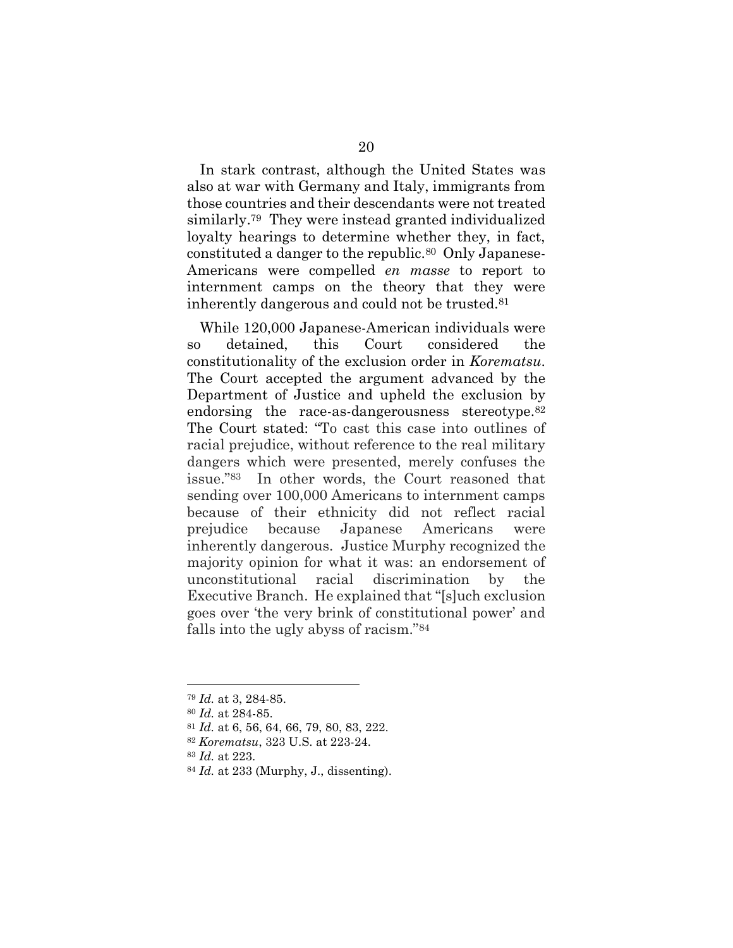In stark contrast, although the United States was also at war with Germany and Italy, immigrants from those countries and their descendants were not treated similarly. <sup>79</sup> They were instead granted individualized loyalty hearings to determine whether they, in fact, constituted a danger to the republic.<sup>80</sup> Only Japanese-Americans were compelled *en masse* to report to internment camps on the theory that they were inherently dangerous and could not be trusted.<sup>81</sup>

While 120,000 Japanese-American individuals were so detained, this Court considered the constitutionality of the exclusion order in *Korematsu*. The Court accepted the argument advanced by the Department of Justice and upheld the exclusion by endorsing the race-as-dangerousness stereotype.<sup>82</sup> The Court stated: "To cast this case into outlines of racial prejudice, without reference to the real military dangers which were presented, merely confuses the issue."83 In other words, the Court reasoned that sending over 100,000 Americans to internment camps because of their ethnicity did not reflect racial prejudice because Japanese Americans were inherently dangerous. Justice Murphy recognized the majority opinion for what it was: an endorsement of unconstitutional racial discrimination by the Executive Branch. He explained that "[s]uch exclusion goes over 'the very brink of constitutional power' and falls into the ugly abyss of racism."<sup>84</sup>

 $\overline{a}$ 

<sup>84</sup> *Id.* at 233 (Murphy, J., dissenting).

<sup>79</sup> *Id.* at 3, 284-85.

<sup>80</sup> *Id.* at 284-85.

<sup>81</sup> *Id.* at 6, 56, 64, 66, 79, 80, 83, 222.

<sup>82</sup> *Korematsu*, 323 U.S. at 223-24.

<sup>83</sup> *Id.* at 223.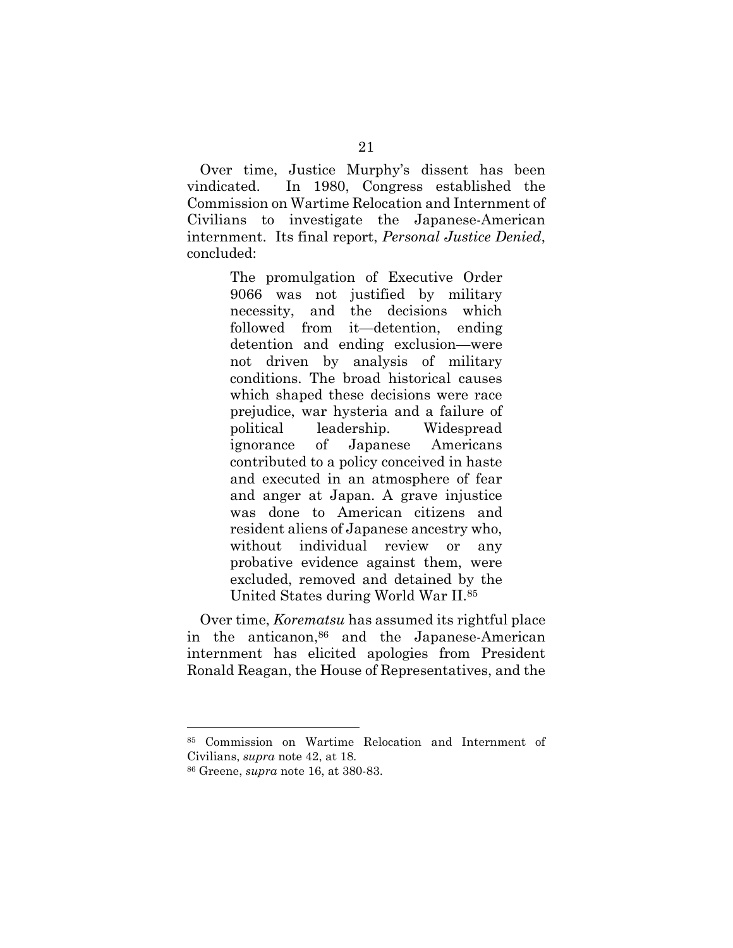Over time, Justice Murphy's dissent has been vindicated. In 1980, Congress established the Commission on Wartime Relocation and Internment of Civilians to investigate the Japanese-American internment. Its final report, *Personal Justice Denied*, concluded:

> The promulgation of Executive Order 9066 was not justified by military necessity, and the decisions which followed from it—detention, ending detention and ending exclusion—were not driven by analysis of military conditions. The broad historical causes which shaped these decisions were race prejudice, war hysteria and a failure of political leadership. Widespread ignorance of Japanese Americans contributed to a policy conceived in haste and executed in an atmosphere of fear and anger at Japan. A grave injustice was done to American citizens and resident aliens of Japanese ancestry who, without individual review or any probative evidence against them, were excluded, removed and detained by the United States during World War II.<sup>85</sup>

Over time, *Korematsu* has assumed its rightful place in the anticanon, <sup>86</sup> and the Japanese-American internment has elicited apologies from President Ronald Reagan, the House of Representatives, and the

<sup>85</sup> Commission on Wartime Relocation and Internment of Civilians, *supra* note 42, at 18.

<sup>86</sup> Greene, *supra* note 16, at 380-83.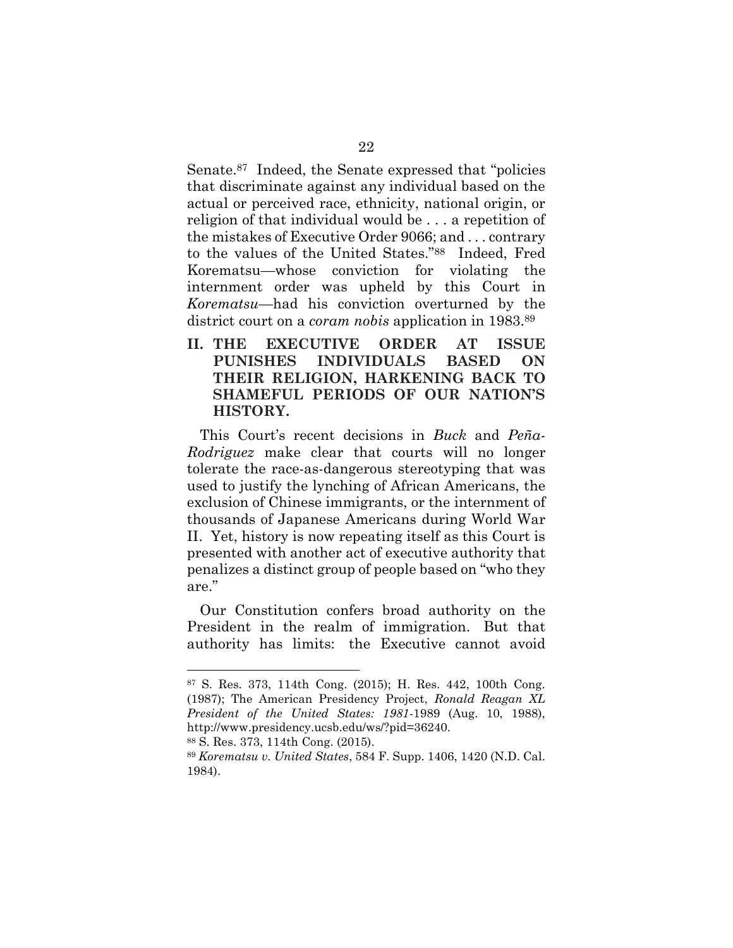Senate.87 Indeed, the Senate expressed that "policies that discriminate against any individual based on the actual or perceived race, ethnicity, national origin, or religion of that individual would be . . . a repetition of the mistakes of Executive Order 9066; and . . . contrary to the values of the United States."88 Indeed, Fred Korematsu—whose conviction for violating the internment order was upheld by this Court in *Korematsu*—had his conviction overturned by the district court on a *coram nobis* application in 1983.<sup>89</sup>

**II. THE EXECUTIVE ORDER AT ISSUE PUNISHES INDIVIDUALS BASED ON THEIR RELIGION, HARKENING BACK TO SHAMEFUL PERIODS OF OUR NATION'S HISTORY.**

This Court's recent decisions in *Buck* and *Peña-Rodriguez* make clear that courts will no longer tolerate the race-as-dangerous stereotyping that was used to justify the lynching of African Americans, the exclusion of Chinese immigrants, or the internment of thousands of Japanese Americans during World War II. Yet, history is now repeating itself as this Court is presented with another act of executive authority that penalizes a distinct group of people based on "who they are."

Our Constitution confers broad authority on the President in the realm of immigration. But that authority has limits: the Executive cannot avoid

<sup>87</sup> S. Res. 373, 114th Cong. (2015); H. Res. 442, 100th Cong. (1987); The American Presidency Project, *Ronald Reagan XL President of the United States: 1981-*1989 (Aug. 10, 1988), http://www.presidency.ucsb.edu/ws/?pid=36240.

<sup>88</sup> S. Res. 373, 114th Cong. (2015).

<sup>89</sup> *Korematsu v. United States*, 584 F. Supp. 1406, 1420 (N.D. Cal. 1984).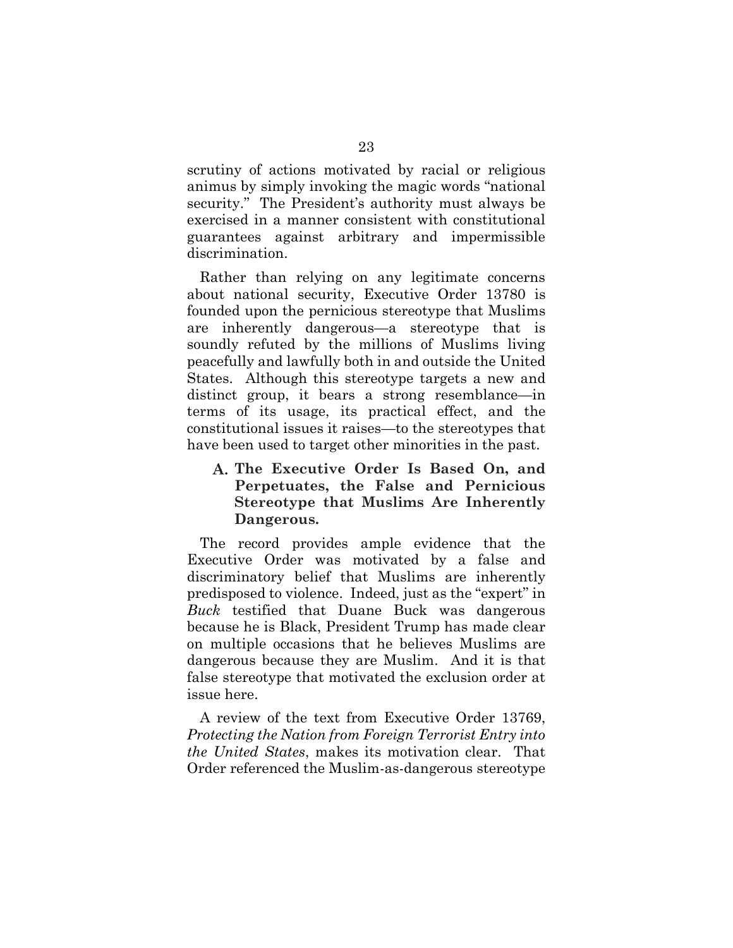scrutiny of actions motivated by racial or religious animus by simply invoking the magic words "national security." The President's authority must always be exercised in a manner consistent with constitutional guarantees against arbitrary and impermissible discrimination.

Rather than relying on any legitimate concerns about national security, Executive Order 13780 is founded upon the pernicious stereotype that Muslims are inherently dangerous—a stereotype that is soundly refuted by the millions of Muslims living peacefully and lawfully both in and outside the United States. Although this stereotype targets a new and distinct group, it bears a strong resemblance—in terms of its usage, its practical effect, and the constitutional issues it raises—to the stereotypes that have been used to target other minorities in the past.

### **The Executive Order Is Based On, and Perpetuates, the False and Pernicious Stereotype that Muslims Are Inherently Dangerous.**

The record provides ample evidence that the Executive Order was motivated by a false and discriminatory belief that Muslims are inherently predisposed to violence. Indeed, just as the "expert" in *Buck* testified that Duane Buck was dangerous because he is Black, President Trump has made clear on multiple occasions that he believes Muslims are dangerous because they are Muslim. And it is that false stereotype that motivated the exclusion order at issue here.

A review of the text from Executive Order 13769, *Protecting the Nation from Foreign Terrorist Entry into the United States*, makes its motivation clear. That Order referenced the Muslim-as-dangerous stereotype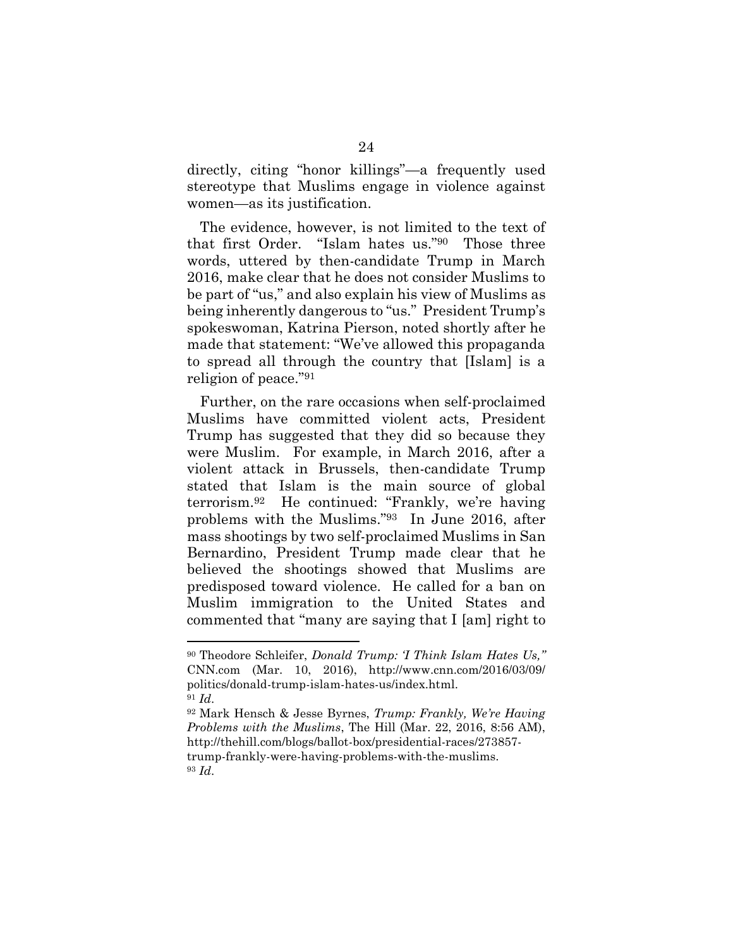directly, citing "honor killings"—a frequently used stereotype that Muslims engage in violence against women—as its justification.

The evidence, however, is not limited to the text of that first Order. "Islam hates us."90 Those three words, uttered by then-candidate Trump in March 2016, make clear that he does not consider Muslims to be part of "us," and also explain his view of Muslims as being inherently dangerous to "us." President Trump's spokeswoman, Katrina Pierson, noted shortly after he made that statement: "We've allowed this propaganda to spread all through the country that [Islam] is a religion of peace."<sup>91</sup>

Further, on the rare occasions when self-proclaimed Muslims have committed violent acts, President Trump has suggested that they did so because they were Muslim. For example, in March 2016, after a violent attack in Brussels, then-candidate Trump stated that Islam is the main source of global terrorism.<sup>92</sup> He continued: "Frankly, we're having problems with the Muslims."93 In June 2016, after mass shootings by two self-proclaimed Muslims in San Bernardino, President Trump made clear that he believed the shootings showed that Muslims are predisposed toward violence. He called for a ban on Muslim immigration to the United States and commented that "many are saying that I [am] right to

<sup>90</sup> Theodore Schleifer, *Donald Trump: 'I Think Islam Hates Us,"* CNN.com (Mar. 10, 2016), http://www.cnn.com/2016/03/09/ politics/donald-trump-islam-hates-us/index.html. <sup>91</sup> *Id*.

<sup>92</sup> Mark Hensch & Jesse Byrnes, *Trump: Frankly, We're Having Problems with the Muslims*, The Hill (Mar. 22, 2016, 8:56 AM), http://thehill.com/blogs/ballot-box/presidential-races/273857 trump-frankly-were-having-problems-with-the-muslims. <sup>93</sup> *Id*.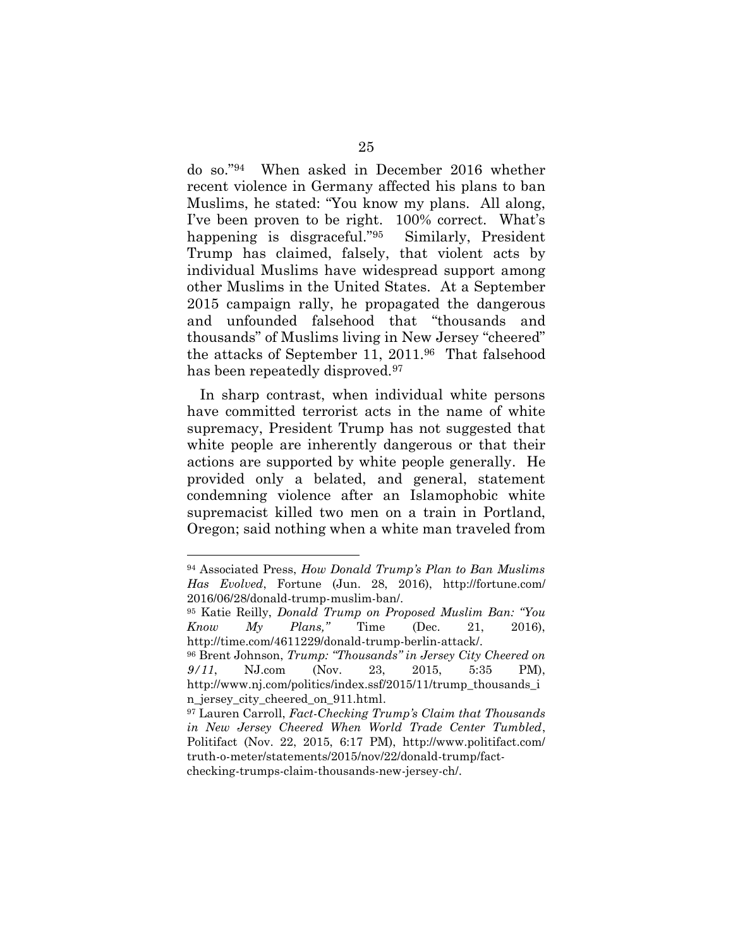do so."94 When asked in December 2016 whether recent violence in Germany affected his plans to ban Muslims, he stated: "You know my plans. All along, I've been proven to be right. 100% correct. What's happening is disgraceful."<sup>95</sup> Similarly, President Trump has claimed, falsely, that violent acts by individual Muslims have widespread support among other Muslims in the United States. At a September 2015 campaign rally, he propagated the dangerous and unfounded falsehood that "thousands and thousands" of Muslims living in New Jersey "cheered" the attacks of September 11, 2011.96 That falsehood has been repeatedly disproved.<sup>97</sup>

In sharp contrast, when individual white persons have committed terrorist acts in the name of white supremacy, President Trump has not suggested that white people are inherently dangerous or that their actions are supported by white people generally. He provided only a belated, and general, statement condemning violence after an Islamophobic white supremacist killed two men on a train in Portland, Oregon; said nothing when a white man traveled from

<sup>94</sup> Associated Press, *How Donald Trump's Plan to Ban Muslims Has Evolved*, Fortune (Jun. 28, 2016), http://fortune.com/ 2016/06/28/donald-trump-muslim-ban/.

<sup>95</sup> Katie Reilly, *Donald Trump on Proposed Muslim Ban: "You Know My Plans,"* Time (Dec. 21, 2016), http://time.com/4611229/donald-trump-berlin-attack/.

<sup>96</sup> Brent Johnson, *Trump: "Thousands" in Jersey City Cheered on 9/11*, NJ.com (Nov. 23, 2015, 5:35 PM), http://www.nj.com/politics/index.ssf/2015/11/trump\_thousands\_i n\_jersey\_city\_cheered\_on\_911.html.

<sup>97</sup> Lauren Carroll, *Fact-Checking Trump's Claim that Thousands in New Jersey Cheered When World Trade Center Tumbled*, Politifact (Nov. 22, 2015, 6:17 PM), http://www.politifact.com/ truth-o-meter/statements/2015/nov/22/donald-trump/factchecking-trumps-claim-thousands-new-jersey-ch/.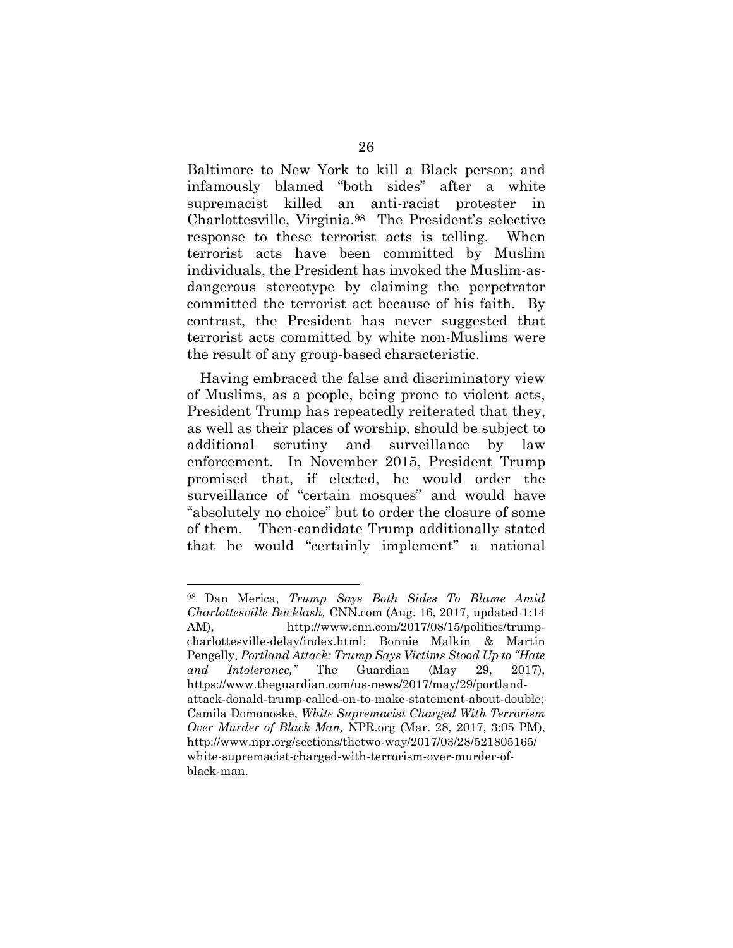Baltimore to New York to kill a Black person; and infamously blamed "both sides" after a white supremacist killed an anti-racist protester in Charlottesville, Virginia.<sup>98</sup> The President's selective response to these terrorist acts is telling. When terrorist acts have been committed by Muslim individuals, the President has invoked the Muslim-asdangerous stereotype by claiming the perpetrator committed the terrorist act because of his faith. By contrast, the President has never suggested that terrorist acts committed by white non-Muslims were the result of any group-based characteristic.

Having embraced the false and discriminatory view of Muslims, as a people, being prone to violent acts, President Trump has repeatedly reiterated that they, as well as their places of worship, should be subject to additional scrutiny and surveillance by law enforcement. In November 2015, President Trump promised that, if elected, he would order the surveillance of "certain mosques" and would have "absolutely no choice" but to order the closure of some of them. Then-candidate Trump additionally stated that he would "certainly implement" a national

<sup>98</sup> Dan Merica, *Trump Says Both Sides To Blame Amid Charlottesville Backlash,* CNN.com (Aug. 16, 2017, updated 1:14 AM), http://www.cnn.com/2017/08/15/politics/trumpcharlottesville-delay/index.html; Bonnie Malkin & Martin Pengelly, *Portland Attack: Trump Says Victims Stood Up to "Hate and Intolerance,"* The Guardian (May 29, 2017), https://www.theguardian.com/us-news/2017/may/29/portlandattack-donald-trump-called-on-to-make-statement-about-double; Camila Domonoske, *White Supremacist Charged With Terrorism Over Murder of Black Man,* NPR.org (Mar. 28, 2017, 3:05 PM), http://www.npr.org/sections/thetwo-way/2017/03/28/521805165/ white-supremacist-charged-with-terrorism-over-murder-ofblack-man.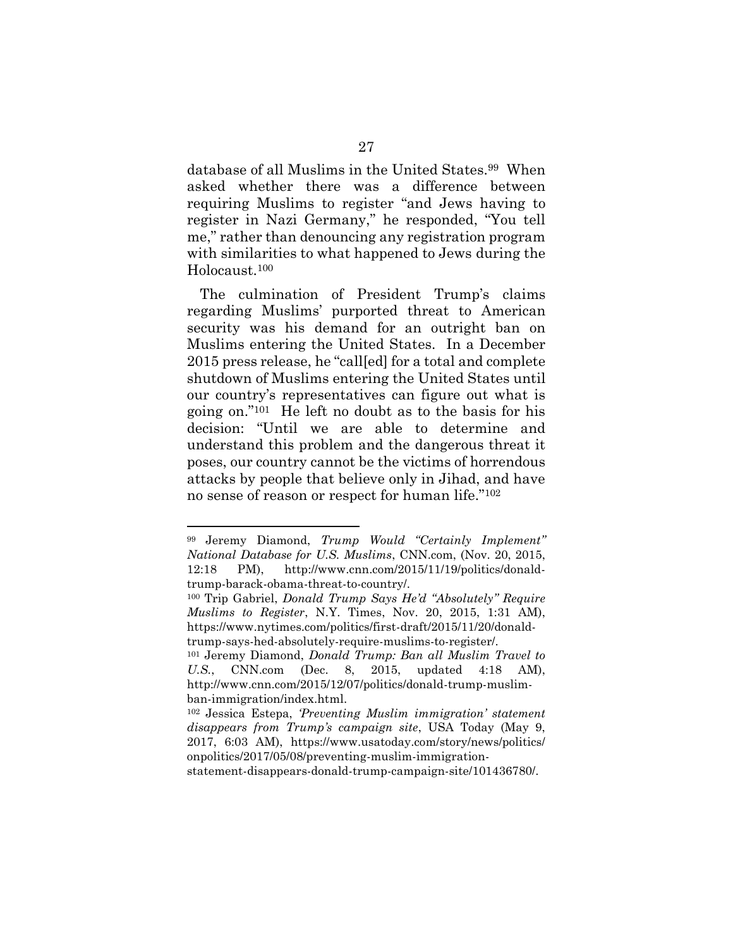database of all Muslims in the United States.<sup>99</sup> When asked whether there was a difference between requiring Muslims to register "and Jews having to register in Nazi Germany," he responded, "You tell me," rather than denouncing any registration program with similarities to what happened to Jews during the Holocaust.<sup>100</sup>

The culmination of President Trump's claims regarding Muslims' purported threat to American security was his demand for an outright ban on Muslims entering the United States. In a December 2015 press release, he "call[ed] for a total and complete shutdown of Muslims entering the United States until our country's representatives can figure out what is going on."101 He left no doubt as to the basis for his decision: "Until we are able to determine and understand this problem and the dangerous threat it poses, our country cannot be the victims of horrendous attacks by people that believe only in Jihad, and have no sense of reason or respect for human life."<sup>102</sup>

 $\overline{a}$ 

statement-disappears-donald-trump-campaign-site/101436780/.

<sup>99</sup> Jeremy Diamond, *Trump Would "Certainly Implement" National Database for U.S. Muslims*, CNN.com, (Nov. 20, 2015, 12:18 PM), http://www.cnn.com/2015/11/19/politics/donaldtrump-barack-obama-threat-to-country/.

<sup>100</sup> Trip Gabriel, *Donald Trump Says He'd "Absolutely" Require Muslims to Register*, N.Y. Times, Nov. 20, 2015, 1:31 AM), https://www.nytimes.com/politics/first-draft/2015/11/20/donaldtrump-says-hed-absolutely-require-muslims-to-register/.

<sup>101</sup> Jeremy Diamond, *Donald Trump: Ban all Muslim Travel to U.S.*, CNN.com (Dec. 8, 2015, updated 4:18 AM), http://www.cnn.com/2015/12/07/politics/donald-trump-muslimban-immigration/index.html.

<sup>102</sup> Jessica Estepa, *'Preventing Muslim immigration' statement disappears from Trump's campaign site*, USA Today (May 9, 2017, 6:03 AM), https://www.usatoday.com/story/news/politics/ onpolitics/2017/05/08/preventing-muslim-immigration-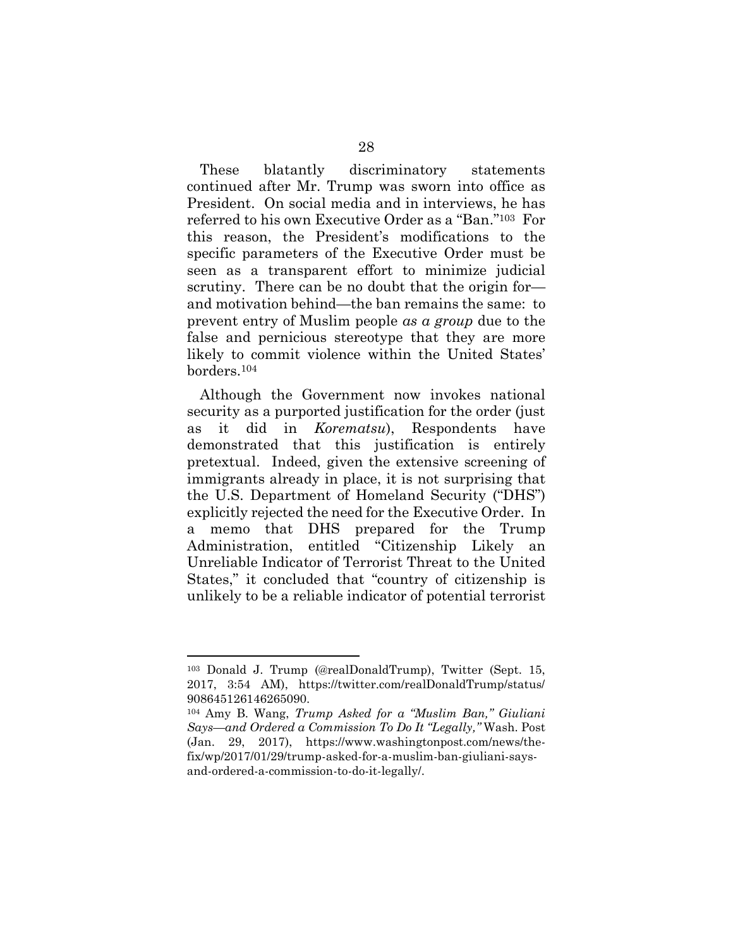These blatantly discriminatory statements continued after Mr. Trump was sworn into office as President. On social media and in interviews, he has referred to his own Executive Order as a "Ban." <sup>103</sup> For this reason, the President's modifications to the specific parameters of the Executive Order must be seen as a transparent effort to minimize judicial scrutiny. There can be no doubt that the origin for and motivation behind—the ban remains the same: to prevent entry of Muslim people *as a group* due to the false and pernicious stereotype that they are more likely to commit violence within the United States' borders.<sup>104</sup>

Although the Government now invokes national security as a purported justification for the order (just as it did in *Korematsu*), Respondents have demonstrated that this justification is entirely pretextual. Indeed, given the extensive screening of immigrants already in place, it is not surprising that the U.S. Department of Homeland Security ("DHS") explicitly rejected the need for the Executive Order. In a memo that DHS prepared for the Trump Administration, entitled "Citizenship Likely an Unreliable Indicator of Terrorist Threat to the United States," it concluded that "country of citizenship is unlikely to be a reliable indicator of potential terrorist

<sup>103</sup> Donald J. Trump (@realDonaldTrump), Twitter (Sept. 15, 2017, 3:54 AM), https://twitter.com/realDonaldTrump/status/ 908645126146265090.

<sup>104</sup> Amy B. Wang, *Trump Asked for a "Muslim Ban," Giuliani Says—and Ordered a Commission To Do It "Legally,"* Wash. Post (Jan. 29, 2017), https://www.washingtonpost.com/news/thefix/wp/2017/01/29/trump-asked-for-a-muslim-ban-giuliani-saysand-ordered-a-commission-to-do-it-legally/.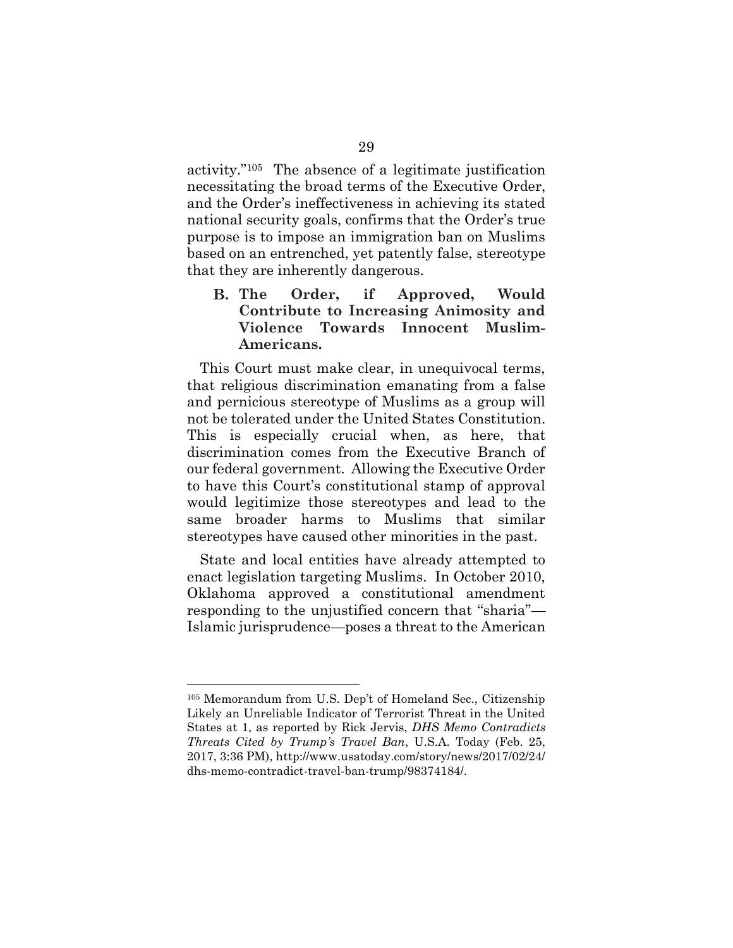activity."105 The absence of a legitimate justification necessitating the broad terms of the Executive Order, and the Order's ineffectiveness in achieving its stated national security goals, confirms that the Order's true purpose is to impose an immigration ban on Muslims based on an entrenched, yet patently false, stereotype that they are inherently dangerous.

**The Order, if Approved, Would Contribute to Increasing Animosity and Violence Towards Innocent Muslim-Americans.**

This Court must make clear, in unequivocal terms, that religious discrimination emanating from a false and pernicious stereotype of Muslims as a group will not be tolerated under the United States Constitution. This is especially crucial when, as here, that discrimination comes from the Executive Branch of our federal government. Allowing the Executive Order to have this Court's constitutional stamp of approval would legitimize those stereotypes and lead to the same broader harms to Muslims that similar stereotypes have caused other minorities in the past.

State and local entities have already attempted to enact legislation targeting Muslims. In October 2010, Oklahoma approved a constitutional amendment responding to the unjustified concern that "sharia"— Islamic jurisprudence—poses a threat to the American

<sup>105</sup> Memorandum from U.S. Dep't of Homeland Sec., Citizenship Likely an Unreliable Indicator of Terrorist Threat in the United States at 1, as reported by Rick Jervis, *DHS Memo Contradicts Threats Cited by Trump's Travel Ban*, U.S.A. Today (Feb. 25, 2017, 3:36 PM), http://www.usatoday.com/story/news/2017/02/24/ dhs-memo-contradict-travel-ban-trump/98374184/.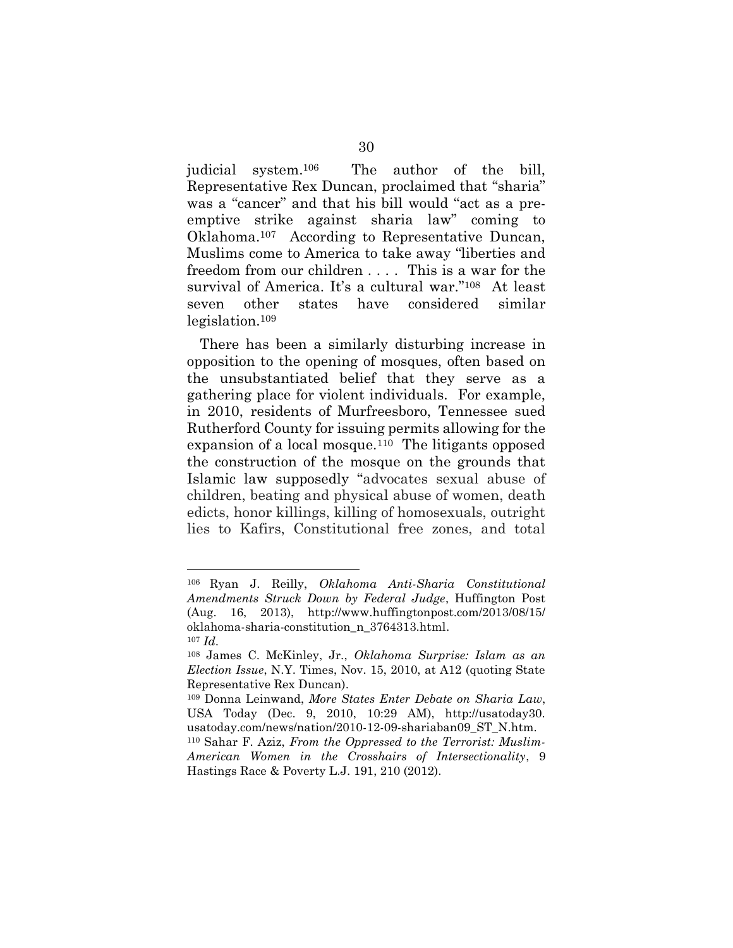judicial system.106 The author of the bill, Representative Rex Duncan, proclaimed that "sharia" was a "cancer" and that his bill would "act as a preemptive strike against sharia law" coming to Oklahoma.107 According to Representative Duncan, Muslims come to America to take away "liberties and freedom from our children . . . . This is a war for the survival of America. It's a cultural war."108 At least seven other states have considered similar legislation.<sup>109</sup>

There has been a similarly disturbing increase in opposition to the opening of mosques, often based on the unsubstantiated belief that they serve as a gathering place for violent individuals. For example, in 2010, residents of Murfreesboro, Tennessee sued Rutherford County for issuing permits allowing for the expansion of a local mosque.110 The litigants opposed the construction of the mosque on the grounds that Islamic law supposedly "advocates sexual abuse of children, beating and physical abuse of women, death edicts, honor killings, killing of homosexuals, outright lies to Kafirs, Constitutional free zones, and total

<sup>106</sup> Ryan J. Reilly, *Oklahoma Anti-Sharia Constitutional Amendments Struck Down by Federal Judge*, Huffington Post (Aug. 16, 2013), http://www.huffingtonpost.com/2013/08/15/ oklahoma-sharia-constitution\_n\_3764313.html. <sup>107</sup> *Id*.

<sup>108</sup> James C. McKinley, Jr., *Oklahoma Surprise: Islam as an Election Issue*, N.Y. Times, Nov. 15, 2010, at A12 (quoting State Representative Rex Duncan).

<sup>109</sup> Donna Leinwand, *More States Enter Debate on Sharia Law*, USA Today (Dec. 9, 2010, 10:29 AM), http://usatoday30. usatoday.com/news/nation/2010-12-09-shariaban09\_ST\_N.htm.

<sup>110</sup> Sahar F. Aziz, *From the Oppressed to the Terrorist: Muslim-American Women in the Crosshairs of Intersectionality*, 9 Hastings Race & Poverty L.J. 191, 210 (2012).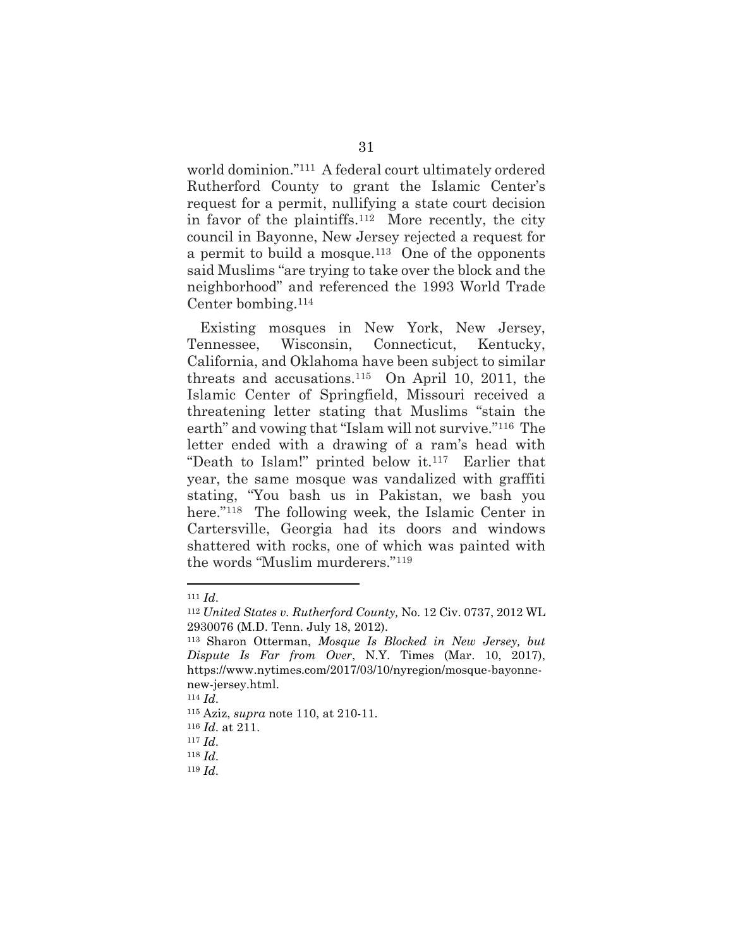world dominion."111 A federal court ultimately ordered Rutherford County to grant the Islamic Center's request for a permit, nullifying a state court decision in favor of the plaintiffs. <sup>112</sup> More recently, the city council in Bayonne, New Jersey rejected a request for a permit to build a mosque.113 One of the opponents said Muslims "are trying to take over the block and the neighborhood" and referenced the 1993 World Trade Center bombing.<sup>114</sup>

Existing mosques in New York, New Jersey, Tennessee, Wisconsin, Connecticut, Kentucky, California, and Oklahoma have been subject to similar threats and accusations.115 On April 10, 2011, the Islamic Center of Springfield, Missouri received a threatening letter stating that Muslims "stain the earth" and vowing that "Islam will not survive."116 The letter ended with a drawing of a ram's head with "Death to Islam!" printed below it.117 Earlier that year, the same mosque was vandalized with graffiti stating, "You bash us in Pakistan, we bash you here."118 The following week, the Islamic Center in Cartersville, Georgia had its doors and windows shattered with rocks, one of which was painted with the words "Muslim murderers."<sup>119</sup>

<sup>111</sup> *Id*.

<sup>112</sup> *United States v. Rutherford County,* No. 12 Civ. 0737, 2012 WL 2930076 (M.D. Tenn. July 18, 2012).

<sup>113</sup> Sharon Otterman, *Mosque Is Blocked in New Jersey, but Dispute Is Far from Over*, N.Y. Times (Mar. 10, 2017), https://www.nytimes.com/2017/03/10/nyregion/mosque-bayonnenew-jersey.html.

<sup>114</sup> *Id*.

<sup>115</sup> Aziz, *supra* note 110, at 210-11.

<sup>116</sup> *Id*. at 211.

<sup>117</sup> *Id*.

<sup>118</sup> *Id*.

<sup>119</sup> *Id*.